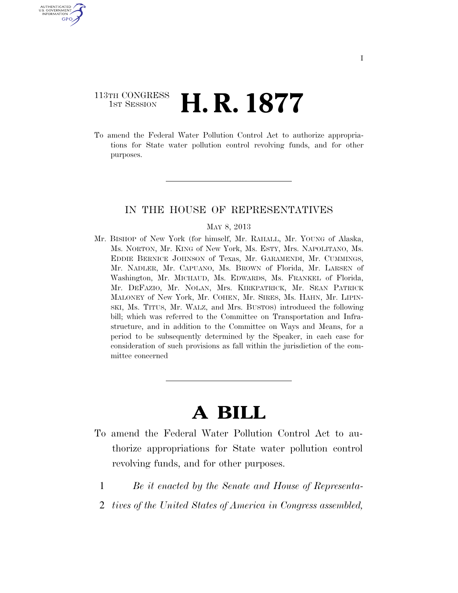# 113TH CONGRESS <sup>TH CONGRESS</sup> **H. R. 1877**

U.S. GOVERNMENT GPO

> To amend the Federal Water Pollution Control Act to authorize appropriations for State water pollution control revolving funds, and for other purposes.

# IN THE HOUSE OF REPRESENTATIVES

#### MAY 8, 2013

Mr. BISHOP of New York (for himself, Mr. RAHALL, Mr. YOUNG of Alaska, Ms. NORTON, Mr. KING of New York, Ms. ESTY, Mrs. NAPOLITANO, Ms. EDDIE BERNICE JOHNSON of Texas, Mr. GARAMENDI, Mr. CUMMINGS, Mr. NADLER, Mr. CAPUANO, Ms. BROWN of Florida, Mr. LARSEN of Washington, Mr. MICHAUD, Ms. EDWARDS, Ms. FRANKEL of Florida, Mr. DEFAZIO, Mr. NOLAN, Mrs. KIRKPATRICK, Mr. SEAN PATRICK MALONEY of New York, Mr. COHEN, Mr. SIRES, Ms. HAHN, Mr. LIPIN-SKI, Ms. TITUS, Mr. WALZ, and Mrs. BUSTOS) introduced the following bill; which was referred to the Committee on Transportation and Infrastructure, and in addition to the Committee on Ways and Means, for a period to be subsequently determined by the Speaker, in each case for consideration of such provisions as fall within the jurisdiction of the committee concerned

# **A BILL**

- To amend the Federal Water Pollution Control Act to authorize appropriations for State water pollution control revolving funds, and for other purposes.
	- 1 *Be it enacted by the Senate and House of Representa-*
	- 2 *tives of the United States of America in Congress assembled,*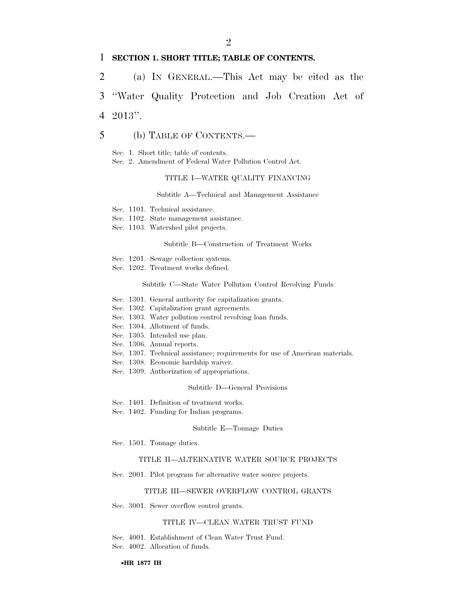#### 1 **SECTION 1. SHORT TITLE; TABLE OF CONTENTS.**

2 (a) IN GENERAL.—This Act may be cited as the 3 ''Water Quality Protection and Job Creation Act of

4 2013''.

## 5 (b) TABLE OF CONTENTS.—

Sec. 1. Short title; table of contents.

Sec. 2. Amendment of Federal Water Pollution Control Act.

#### TITLE I—WATER QUALITY FINANCING

Subtitle A—Technical and Management Assistance

- Sec. 1101. Technical assistance.
- Sec. 1102. State management assistance.
- Sec. 1103. Watershed pilot projects.

#### Subtitle B—Construction of Treatment Works

- Sec. 1201. Sewage collection systems.
- Sec. 1202. Treatment works defined.

#### Subtitle C—State Water Pollution Control Revolving Funds

- Sec. 1301. General authority for capitalization grants.
- Sec. 1302. Capitalization grant agreements.
- Sec. 1303. Water pollution control revolving loan funds.
- Sec. 1304. Allotment of funds.
- Sec. 1305. Intended use plan.
- Sec. 1306. Annual reports.
- Sec. 1307. Technical assistance; requirements for use of American materials.
- Sec. 1308. Economic hardship waiver.
- Sec. 1309. Authorization of appropriations.

#### Subtitle D—General Provisions

- Sec. 1401. Definition of treatment works.
- Sec. 1402. Funding for Indian programs.

#### Subtitle E—Tonnage Duties

Sec. 1501. Tonnage duties.

#### TITLE II—ALTERNATIVE WATER SOURCE PROJECTS

Sec. 2001. Pilot program for alternative water source projects.

#### TITLE III—SEWER OVERFLOW CONTROL GRANTS

Sec. 3001. Sewer overflow control grants.

#### TITLE IV—CLEAN WATER TRUST FUND

Sec. 4001. Establishment of Clean Water Trust Fund. Sec. 4002. Allocation of funds.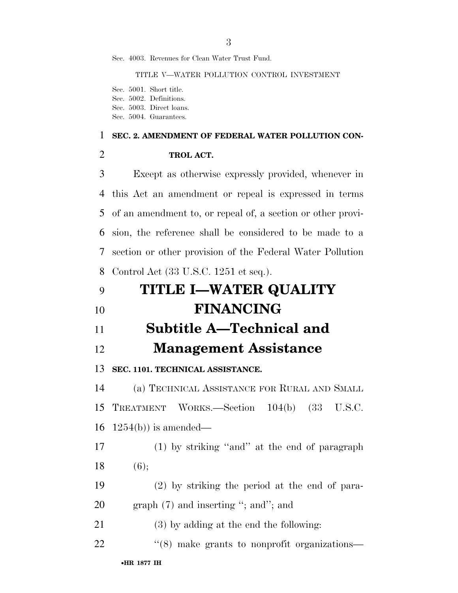Sec. 4003. Revenues for Clean Water Trust Fund.

TITLE V—WATER POLLUTION CONTROL INVESTMENT

Sec. 5001. Short title. Sec. 5002. Definitions. Sec. 5003. Direct loans. Sec. 5004. Guarantees.

#### **SEC. 2. AMENDMENT OF FEDERAL WATER POLLUTION CON-**

| TROL ACT. |
|-----------|
|           |

 Except as otherwise expressly provided, whenever in this Act an amendment or repeal is expressed in terms of an amendment to, or repeal of, a section or other provi- sion, the reference shall be considered to be made to a section or other provision of the Federal Water Pollution Control Act (33 U.S.C. 1251 et seq.).

| 9  | <b>TITLE I-WATER QUALITY</b>                             |
|----|----------------------------------------------------------|
| 10 | <b>FINANCING</b>                                         |
| 11 | Subtitle A—Technical and                                 |
| 12 | <b>Management Assistance</b>                             |
| 13 | SEC. 1101. TECHNICAL ASSISTANCE.                         |
| 14 | (a) TECHNICAL ASSISTANCE FOR RURAL AND SMALL             |
| 15 | TREATMENT WORKS.—Section 104(b) (33 U.S.C.               |
| 16 | $1254(b)$ ) is amended—                                  |
| 17 | $(1)$ by striking "and" at the end of paragraph          |
| 18 | (6);                                                     |
| 19 | $(2)$ by striking the period at the end of para-         |
| 20 | graph $(7)$ and inserting "; and"; and                   |
| 21 | $(3)$ by adding at the end the following:                |
| 22 | $\cdot\cdot$ (8) make grants to nonprofit organizations— |
|    | $\bullet$ HR 1877 IH                                     |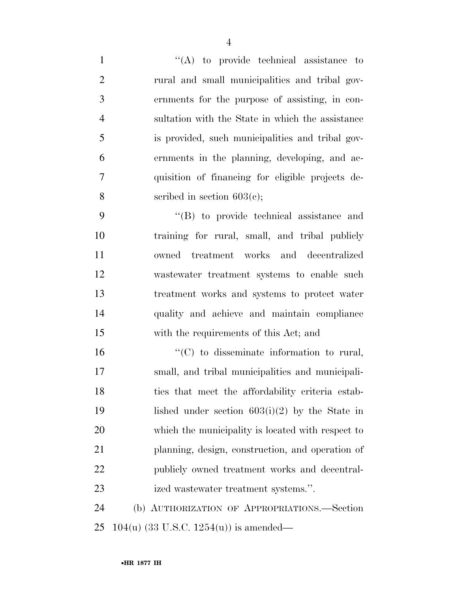| $\mathbf{1}$   | $\lq\lq$ to provide technical assistance to       |
|----------------|---------------------------------------------------|
| $\overline{2}$ | rural and small municipalities and tribal gov-    |
| 3              | ernments for the purpose of assisting, in con-    |
| $\overline{4}$ | sultation with the State in which the assistance  |
| 5              | is provided, such municipalities and tribal gov-  |
| 6              | ernments in the planning, developing, and ac-     |
| $\overline{7}$ | quisition of financing for eligible projects de-  |
| 8              | scribed in section $603(c)$ ;                     |
| 9              | $\lq\lq$ to provide technical assistance and      |
| 10             | training for rural, small, and tribal publicly    |
| 11             | owned treatment works and decentralized           |
| 12             | wastewater treatment systems to enable such       |
| 13             | treatment works and systems to protect water      |
| 14             | quality and achieve and maintain compliance       |
| 15             | with the requirements of this Act; and            |
| 16             | "(C) to disseminate information to rural,         |
| 17             | small, and tribal municipalities and municipali-  |
| 18             | ties that meet the affordability criteria estab-  |
| 19             | lished under section $603(i)(2)$ by the State in  |
| 20             | which the municipality is located with respect to |
| 21             | planning, design, construction, and operation of  |
| 22             | publicly owned treatment works and decentral-     |
| 23             | ized wastewater treatment systems.".              |
| 24             | (b) AUTHORIZATION OF APPROPRIATIONS.—Section      |
|                |                                                   |

104(u) (33 U.S.C. 1254(u)) is amended—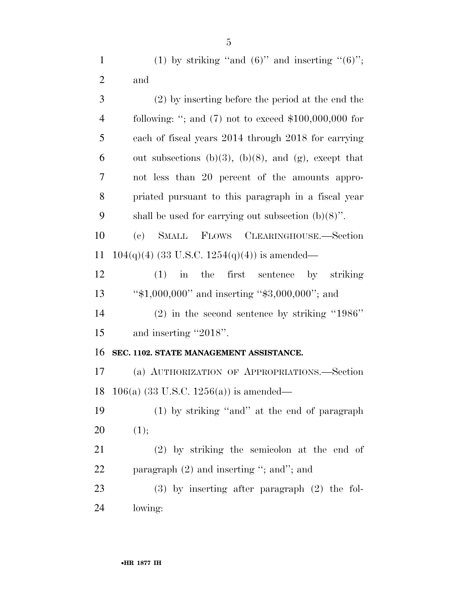(2) by inserting before the period at the end the following: ''; and (7) not to exceed \$100,000,000 for each of fiscal years 2014 through 2018 for carrying 6 out subsections (b)(3), (b)(8), and (g), except that not less than 20 percent of the amounts appro- priated pursuant to this paragraph in a fiscal year 9 shall be used for carrying out subsection  $(b)(8)$ ". (c) SMALL FLOWS CLEARINGHOUSE.—Section 11 104(q)(4) (33 U.S.C. 1254(q)(4)) is amended— (1) in the first sentence by striking ''\$1,000,000'' and inserting ''\$3,000,000''; and (2) in the second sentence by striking ''1986'' 15 and inserting "2018". **SEC. 1102. STATE MANAGEMENT ASSISTANCE.**  (a) AUTHORIZATION OF APPROPRIATIONS.—Section 106(a) (33 U.S.C. 1256(a)) is amended— (1) by striking ''and'' at the end of paragraph  $20 \t(1);$  (2) by striking the semicolon at the end of 22 paragraph (2) and inserting "; and"; and (3) by inserting after paragraph (2) the fol-lowing: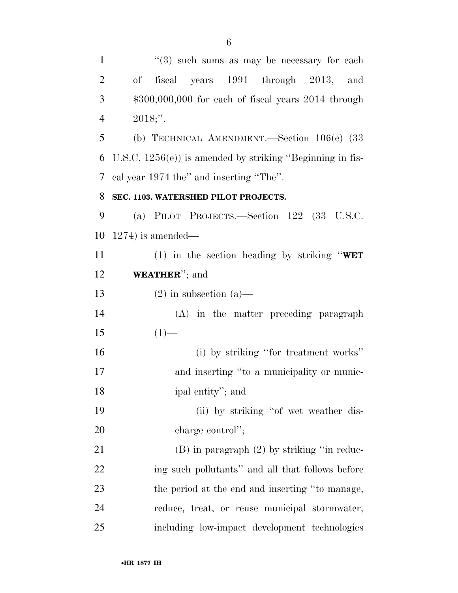| $\mathbf{1}$   | $(3)$ such sums as may be necessary for each                 |
|----------------|--------------------------------------------------------------|
| $\overline{2}$ | fiscal years 1991 through 2013, and<br>$\mathrm{of}$         |
| 3              | $$300,000,000$ for each of fiscal years $2014$ through       |
| $\overline{4}$ | $2018;$ ".                                                   |
| 5              | (b) TECHNICAL AMENDMENT.—Section $106(e)$ (33                |
| 6              | U.S.C. $1256(e)$ ) is amended by striking "Beginning in fis- |
| 7              | cal year 1974 the" and inserting "The".                      |
| 8              | SEC. 1103. WATERSHED PILOT PROJECTS.                         |
| 9              | (a) PILOT PROJECTS.—Section $122$ (33 U.S.C.                 |
| 10             | $1274$ ) is amended—                                         |
| 11             | (1) in the section heading by striking "WET                  |
| 12             | <b>WEATHER</b> "; and                                        |
| 13             | $(2)$ in subsection $(a)$ —                                  |
| 14             | (A) in the matter preceding paragraph                        |
| 15             | $(1)$ —                                                      |
| 16             | (i) by striking "for treatment works"                        |
| 17             | and inserting "to a municipality or munic-                   |
| 18             | ipal entity"; and                                            |
| 19             | (ii) by striking "of wet weather dis-                        |
| 20             | charge control";                                             |
| 21             | $(B)$ in paragraph $(2)$ by striking "in reduc-              |
| 22             | ing such pollutants" and all that follows before             |
| 23             | the period at the end and inserting "to manage,              |
| 24             | reduce, treat, or reuse municipal stormwater,                |
| 25             | including low-impact development technologies                |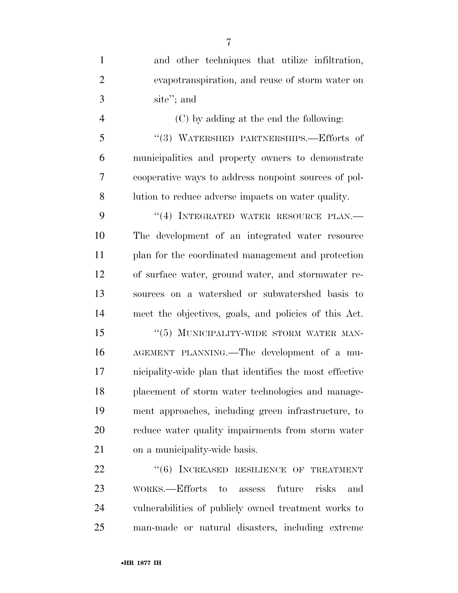and other techniques that utilize infiltration, evapotranspiration, and reuse of storm water on site''; and (C) by adding at the end the following: ''(3) WATERSHED PARTNERSHIPS.—Efforts of municipalities and property owners to demonstrate cooperative ways to address nonpoint sources of pol- lution to reduce adverse impacts on water quality. 9 "(4) INTEGRATED WATER RESOURCE PLAN.— The development of an integrated water resource plan for the coordinated management and protection of surface water, ground water, and stormwater re- sources on a watershed or subwatershed basis to meet the objectives, goals, and policies of this Act. 15 "(5) MUNICIPALITY-WIDE STORM WATER MAN- AGEMENT PLANNING.—The development of a mu- nicipality-wide plan that identifies the most effective placement of storm water technologies and manage- ment approaches, including green infrastructure, to reduce water quality impairments from storm water on a municipality-wide basis. 22 "(6) INCREASED RESILIENCE OF TREATMENT WORKS.—Efforts to assess future risks and vulnerabilities of publicly owned treatment works to

man-made or natural disasters, including extreme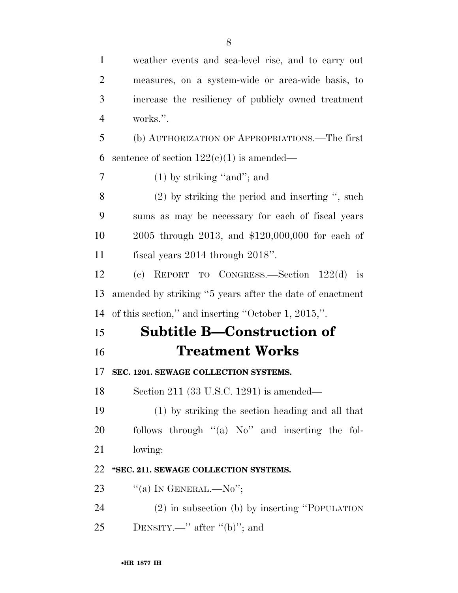weather events and sea-level rise, and to carry out measures, on a system-wide or area-wide basis, to increase the resiliency of publicly owned treatment works.''. (b) AUTHORIZATION OF APPROPRIATIONS.—The first 6 sentence of section  $122(e)(1)$  is amended— (1) by striking ''and''; and (2) by striking the period and inserting '', such sums as may be necessary for each of fiscal years 2005 through 2013, and \$120,000,000 for each of fiscal years 2014 through 2018''. (c) REPORT TO CONGRESS.—Section 122(d) is amended by striking ''5 years after the date of enactment of this section,'' and inserting ''October 1, 2015,''. **Subtitle B—Construction of Treatment Works SEC. 1201. SEWAGE COLLECTION SYSTEMS.**  Section 211 (33 U.S.C. 1291) is amended— (1) by striking the section heading and all that follows through ''(a) No'' and inserting the fol- lowing: **''SEC. 211. SEWAGE COLLECTION SYSTEMS.**   $\text{``(a) IN GENERAL.} -\text{No''};$  (2) in subsection (b) by inserting ''POPULATION 25 DENSITY.—" after "(b)"; and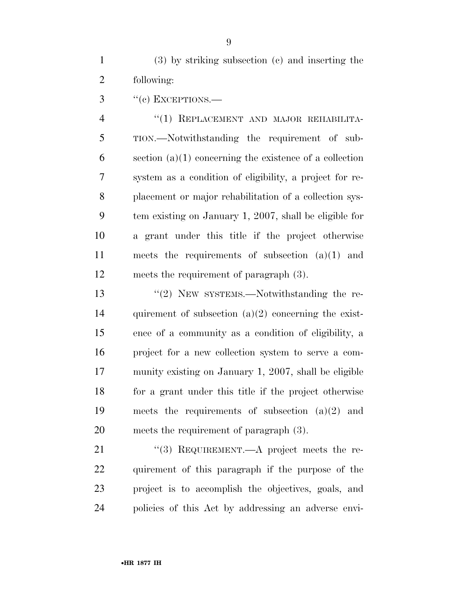(3) by striking subsection (c) and inserting the following:

''(c) EXCEPTIONS.—

4 "(1) REPLACEMENT AND MAJOR REHABILITA- TION.—Notwithstanding the requirement of sub-6 section  $(a)(1)$  concerning the existence of a collection system as a condition of eligibility, a project for re- placement or major rehabilitation of a collection sys- tem existing on January 1, 2007, shall be eligible for a grant under this title if the project otherwise meets the requirements of subsection (a)(1) and meets the requirement of paragraph (3).

 ''(2) NEW SYSTEMS.—Notwithstanding the re-14 quirement of subsection  $(a)(2)$  concerning the exist- ence of a community as a condition of eligibility, a project for a new collection system to serve a com- munity existing on January 1, 2007, shall be eligible for a grant under this title if the project otherwise meets the requirements of subsection (a)(2) and meets the requirement of paragraph (3).

21 "(3) REQUIREMENT.—A project meets the re- quirement of this paragraph if the purpose of the project is to accomplish the objectives, goals, and policies of this Act by addressing an adverse envi-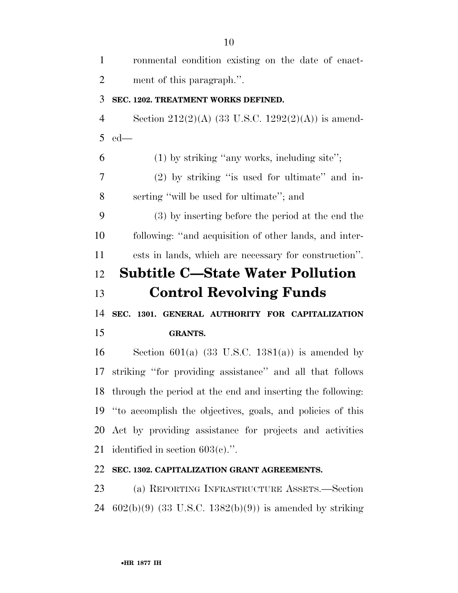| $\mathbf{1}$   | ronmental condition existing on the date of enact-            |
|----------------|---------------------------------------------------------------|
| $\overline{2}$ | ment of this paragraph.".                                     |
| 3              | SEC. 1202. TREATMENT WORKS DEFINED.                           |
| $\overline{4}$ | Section 212(2)(A) (33 U.S.C. 1292(2)(A)) is amend-            |
| 5              | $ed$ —                                                        |
| 6              | $(1)$ by striking "any works, including site";                |
| 7              | $(2)$ by striking "is used for ultimate" and in-              |
| 8              | serting "will be used for ultimate"; and                      |
| 9              | (3) by inserting before the period at the end the             |
| 10             | following: "and acquisition of other lands, and inter-        |
| 11             | ests in lands, which are necessary for construction".         |
| 12             | <b>Subtitle C—State Water Pollution</b>                       |
| 13             | <b>Control Revolving Funds</b>                                |
|                |                                                               |
| 14             | SEC. 1301. GENERAL AUTHORITY FOR CAPITALIZATION               |
| 15             | <b>GRANTS.</b>                                                |
|                | Section 601(a) $(33 \text{ U.S.C. } 1381(a))$ is amended by   |
|                | striking "for providing assistance" and all that follows      |
|                | 18 through the period at the end and inserting the following: |
| 16<br>17       | 19 "to accomplish the objectives, goals, and policies of this |
|                | 20 Act by providing assistance for projects and activities    |
| 21             | identified in section $603(c)$ .".                            |
| 22             | SEC. 1302. CAPITALIZATION GRANT AGREEMENTS.                   |

602(b)(9) (33 U.S.C. 1382(b)(9)) is amended by striking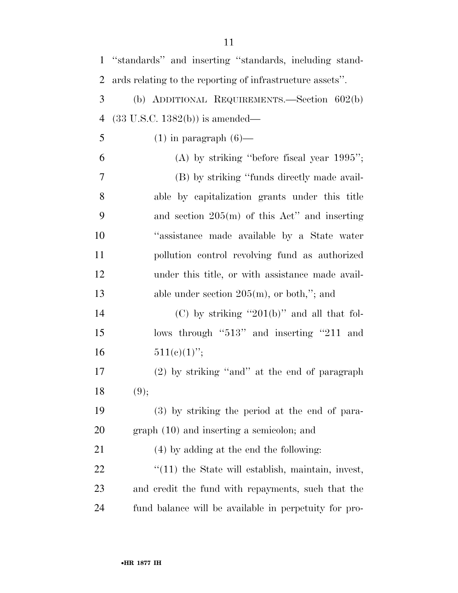| $\mathbf{1}$   | "standards" and inserting "standards, including stand-    |
|----------------|-----------------------------------------------------------|
| $\overline{2}$ | ards relating to the reporting of infrastructure assets". |
| 3              | (b) ADDITIONAL REQUIREMENTS.—Section 602(b)               |
| $\overline{4}$ | $(33 \text{ U.S.C. } 1382(b))$ is amended—                |
| 5              | $(1)$ in paragraph $(6)$ —                                |
| 6              | $(A)$ by striking "before fiscal year 1995";              |
| 7              | (B) by striking "funds directly made avail-               |
| 8              | able by capitalization grants under this title            |
| 9              | and section $205(m)$ of this Act" and inserting           |
| 10             | "assistance made available by a State water               |
| 11             | pollution control revolving fund as authorized            |
| 12             | under this title, or with assistance made avail-          |
| 13             | able under section $205(m)$ , or both,"; and              |
| 14             | (C) by striking "201(b)" and all that fol-                |
| 15             | lows through "513" and inserting "211 and                 |
| 16             | $511(c)(1)$ ";                                            |
| 17             | (2) by striking "and" at the end of paragraph             |
| 18             | (9);                                                      |
| 19             | (3) by striking the period at the end of para-            |
| 20             | $graph(10)$ and inserting a semicolon; and                |
| 21             | (4) by adding at the end the following:                   |
| 22             | $\lq(11)$ the State will establish, maintain, invest,     |
| 23             | and credit the fund with repayments, such that the        |
| 24             | fund balance will be available in perpetuity for pro-     |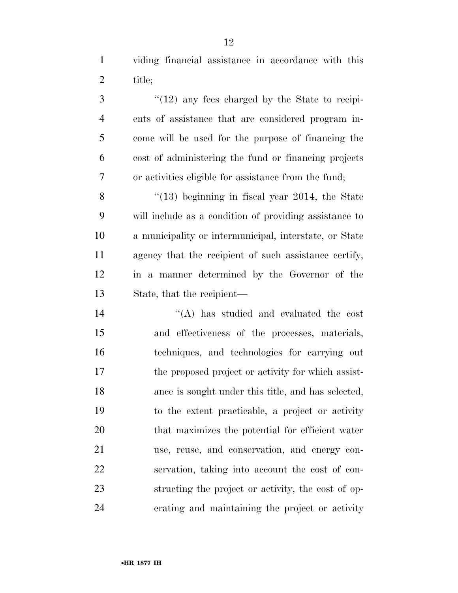viding financial assistance in accordance with this title;

3 "(12) any fees charged by the State to recipi- ents of assistance that are considered program in- come will be used for the purpose of financing the cost of administering the fund or financing projects or activities eligible for assistance from the fund;

8 "(13) beginning in fiscal year 2014, the State will include as a condition of providing assistance to a municipality or intermunicipal, interstate, or State agency that the recipient of such assistance certify, in a manner determined by the Governor of the State, that the recipient—

 ''(A) has studied and evaluated the cost and effectiveness of the processes, materials, techniques, and technologies for carrying out the proposed project or activity for which assist- ance is sought under this title, and has selected, to the extent practicable, a project or activity that maximizes the potential for efficient water use, reuse, and conservation, and energy con- servation, taking into account the cost of con- structing the project or activity, the cost of op-erating and maintaining the project or activity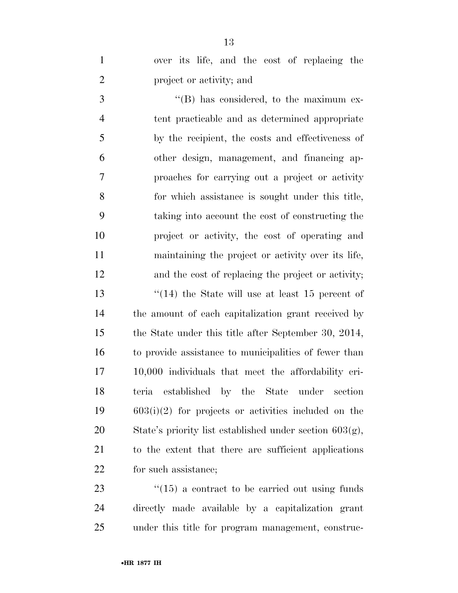|                          |  |  |  | over its life, and the cost of replacing the |  |
|--------------------------|--|--|--|----------------------------------------------|--|
| project or activity; and |  |  |  |                                              |  |

 $\cdot$  (B) has considered, to the maximum ex- tent practicable and as determined appropriate by the recipient, the costs and effectiveness of other design, management, and financing ap- proaches for carrying out a project or activity for which assistance is sought under this title, taking into account the cost of constructing the project or activity, the cost of operating and maintaining the project or activity over its life, and the cost of replacing the project or activity; ''(14) the State will use at least 15 percent of the amount of each capitalization grant received by the State under this title after September 30, 2014, to provide assistance to municipalities of fewer than 10,000 individuals that meet the affordability cri- teria established by the State under section 603(i)(2) for projects or activities included on the State's priority list established under section 603(g), to the extent that there are sufficient applications for such assistance;

23 ''(15) a contract to be carried out using funds directly made available by a capitalization grant under this title for program management, construc-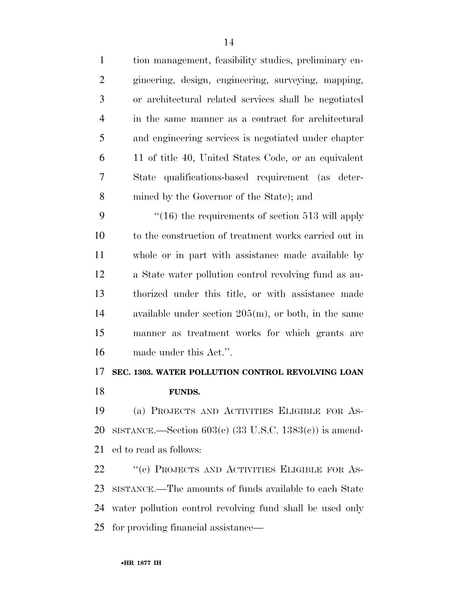| $\mathbf{1}$   | tion management, feasibility studies, preliminary en-   |
|----------------|---------------------------------------------------------|
| $\overline{2}$ | gineering, design, engineering, surveying, mapping,     |
| 3              | or architectural related services shall be negotiated   |
| $\overline{4}$ | in the same manner as a contract for architectural      |
| 5              | and engineering services is negotiated under chapter    |
| 6              | 11 of title 40, United States Code, or an equivalent    |
| 7              | State qualifications-based requirement (as deter-       |
| 8              | mined by the Governor of the State); and                |
| 9              | $\cdot$ (16) the requirements of section 513 will apply |
| 10             | to the construction of treatment works carried out in   |
| 11             | whole or in part with assistance made available by      |
| 12             | a State water pollution control revolving fund as au-   |
| 13             | thorized under this title, or with assistance made      |
| 14             | available under section $205(m)$ , or both, in the same |
| 15             | manner as treatment works for which grants are          |
| 16             | made under this Act.".                                  |
| 17             | SEC. 1303. WATER POLLUTION CONTROL REVOLVING LOAN       |
| 18             | <b>FUNDS.</b>                                           |

 (a) PROJECTS AND ACTIVITIES ELIGIBLE FOR AS- SISTANCE.—Section 603(c) (33 U.S.C. 1383(c)) is amend-ed to read as follows:

22 "(c) PROJECTS AND ACTIVITIES ELIGIBLE FOR AS- SISTANCE.—The amounts of funds available to each State water pollution control revolving fund shall be used only for providing financial assistance—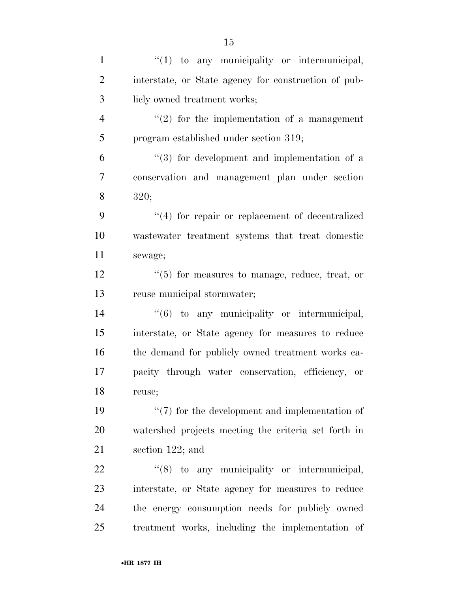| $\mathbf{1}$   | $"(1)$ to any municipality or intermunicipal,        |
|----------------|------------------------------------------------------|
| $\overline{2}$ | interstate, or State agency for construction of pub- |
| 3              | liely owned treatment works;                         |
| $\overline{4}$ | $\lq(2)$ for the implementation of a management      |
| 5              | program established under section 319;               |
| 6              | $(3)$ for development and implementation of a        |
| 7              | conservation and management plan under section       |
| 8              | 320;                                                 |
| 9              | $``(4)$ for repair or replacement of decentralized   |
| 10             | wastewater treatment systems that treat domestic     |
| 11             | sewage;                                              |
| 12             | $\lq(5)$ for measures to manage, reduce, treat, or   |
| 13             | reuse municipal stormwater;                          |
| 14             | "(6) to any municipality or intermunicipal,          |
| 15             | interstate, or State agency for measures to reduce   |
| 16             | the demand for publicly owned treatment works ca-    |
| 17             | pacity through water conservation, efficiency, or    |
| 18             | reuse;                                               |
| 19             | $``(7)$ for the development and implementation of    |
| 20             | watershed projects meeting the criteria set forth in |
| 21             | section $122$ ; and                                  |
| 22             | "(8) to any municipality or intermunicipal,          |
| 23             | interstate, or State agency for measures to reduce   |
| 24             | the energy consumption needs for publicly owned      |
| 25             | treatment works, including the implementation of     |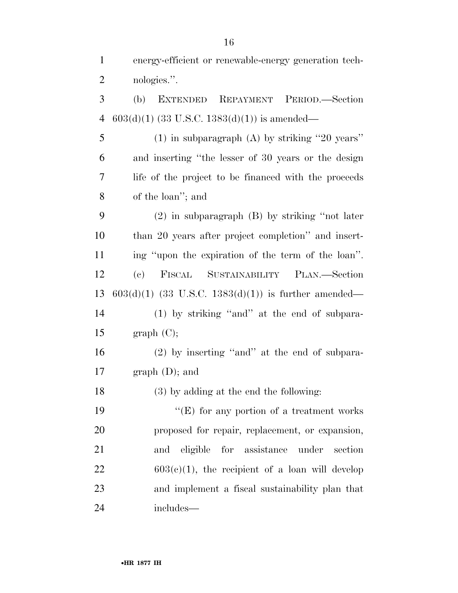energy-efficient or renewable-energy generation tech-

nologies.''.

| 3              | EXTENDED REPAYMENT PERIOD.-Section<br>(b)              |  |  |  |  |  |  |  |  |  |  |
|----------------|--------------------------------------------------------|--|--|--|--|--|--|--|--|--|--|
| $\overline{4}$ | $603(d)(1)$ (33 U.S.C. 1383(d)(1)) is amended—         |  |  |  |  |  |  |  |  |  |  |
| 5              | $(1)$ in subparagraph $(A)$ by striking "20 years"     |  |  |  |  |  |  |  |  |  |  |
| 6              | and inserting "the lesser of 30 years or the design    |  |  |  |  |  |  |  |  |  |  |
| 7              | life of the project to be financed with the proceeds   |  |  |  |  |  |  |  |  |  |  |
| 8              | of the loan"; and                                      |  |  |  |  |  |  |  |  |  |  |
| 9              | $(2)$ in subparagraph $(B)$ by striking "not later     |  |  |  |  |  |  |  |  |  |  |
| 10             | than 20 years after project completion" and insert-    |  |  |  |  |  |  |  |  |  |  |
| 11             | ing "upon the expiration of the term of the loan".     |  |  |  |  |  |  |  |  |  |  |
| 12             | SUSTAINABILITY PLAN.—Section<br>FISCAL<br>(e)          |  |  |  |  |  |  |  |  |  |  |
| 13             | $603(d)(1)$ (33 U.S.C. 1383(d)(1)) is further amended— |  |  |  |  |  |  |  |  |  |  |
| 14             | $(1)$ by striking "and" at the end of subpara-         |  |  |  |  |  |  |  |  |  |  |
| 15             | graph (C);                                             |  |  |  |  |  |  |  |  |  |  |
| 16             | $(2)$ by inserting "and" at the end of subpara-        |  |  |  |  |  |  |  |  |  |  |
| 17             | graph (D); and                                         |  |  |  |  |  |  |  |  |  |  |
| 18             | $(3)$ by adding at the end the following:              |  |  |  |  |  |  |  |  |  |  |
| 19             | "(E) for any portion of a treatment works              |  |  |  |  |  |  |  |  |  |  |
| 20             | proposed for repair, replacement, or expansion,        |  |  |  |  |  |  |  |  |  |  |
| 21             | eligible<br>for assistance<br>under<br>section<br>and  |  |  |  |  |  |  |  |  |  |  |
| 22             | $603(c)(1)$ , the recipient of a loan will develop     |  |  |  |  |  |  |  |  |  |  |
| 23             | and implement a fiscal sustainability plan that        |  |  |  |  |  |  |  |  |  |  |
| 24             | includes—                                              |  |  |  |  |  |  |  |  |  |  |
|                |                                                        |  |  |  |  |  |  |  |  |  |  |
|                |                                                        |  |  |  |  |  |  |  |  |  |  |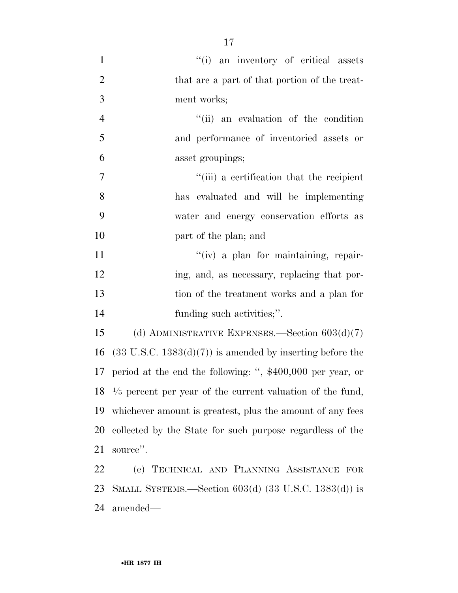| $\mathbf{1}$   | "(i) an inventory of critical assets                                    |
|----------------|-------------------------------------------------------------------------|
| $\overline{2}$ | that are a part of that portion of the treat-                           |
| 3              | ment works;                                                             |
| $\overline{4}$ | "(ii) an evaluation of the condition                                    |
| 5              | and performance of inventoried assets or                                |
| 6              | asset groupings;                                                        |
| $\overline{7}$ | "(iii) a certification that the recipient                               |
| 8              | has evaluated and will be implementing                                  |
| 9              | water and energy conservation efforts as                                |
| 10             | part of the plan; and                                                   |
| 11             | "(iv) a plan for maintaining, repair-                                   |
| 12             | ing, and, as necessary, replacing that por-                             |
| 13             | tion of the treatment works and a plan for                              |
| 14             | funding such activities;".                                              |
| 15             | (d) ADMINISTRATIVE EXPENSES.—Section $603(d)(7)$                        |
| 16             | $(33 \text{ U.S.C. } 1383(d)(7))$ is amended by inserting before the    |
| 17             | period at the end the following: ", $$400,000$ per year, or             |
|                | $18 \frac{1}{5}$ percent per year of the current valuation of the fund, |
| 19             | whichever amount is greatest, plus the amount of any fees               |
| 20             | collected by the State for such purpose regardless of the               |
| 21             | source".                                                                |
| 22             | (e) TECHNICAL AND PLANNING ASSISTANCE FOR                               |
|                |                                                                         |

 SMALL SYSTEMS.—Section 603(d) (33 U.S.C. 1383(d)) is amended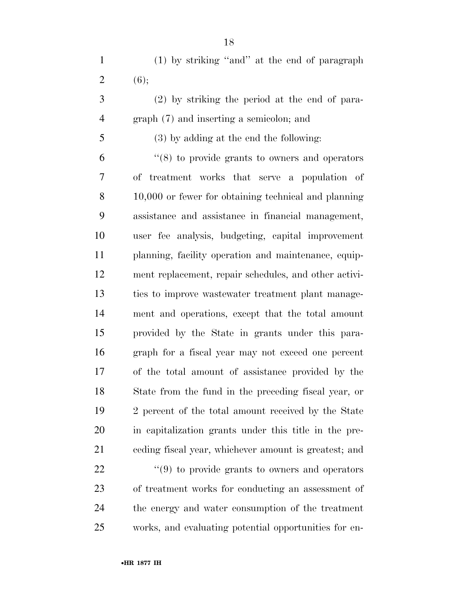(1) by striking ''and'' at the end of paragraph 2 (6);

 (2) by striking the period at the end of para-graph (7) and inserting a semicolon; and

# (3) by adding at the end the following:

 ''(8) to provide grants to owners and operators of treatment works that serve a population of 10,000 or fewer for obtaining technical and planning assistance and assistance in financial management, user fee analysis, budgeting, capital improvement planning, facility operation and maintenance, equip- ment replacement, repair schedules, and other activi- ties to improve wastewater treatment plant manage- ment and operations, except that the total amount provided by the State in grants under this para- graph for a fiscal year may not exceed one percent of the total amount of assistance provided by the State from the fund in the preceding fiscal year, or 2 percent of the total amount received by the State in capitalization grants under this title in the pre-ceding fiscal year, whichever amount is greatest; and

  $(9)$  to provide grants to owners and operators of treatment works for conducting an assessment of the energy and water consumption of the treatment works, and evaluating potential opportunities for en-

•**HR 1877 IH**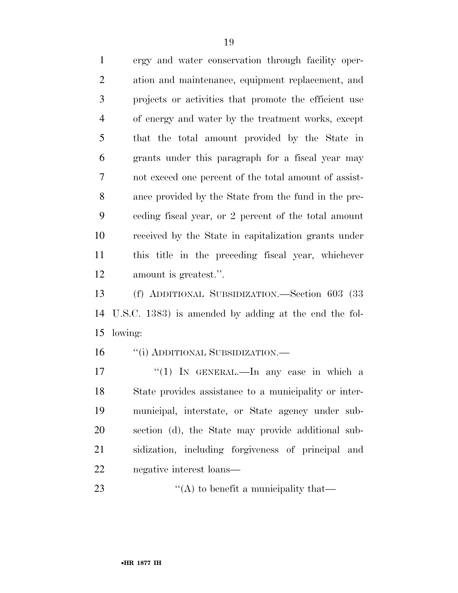ergy and water conservation through facility oper- ation and maintenance, equipment replacement, and projects or activities that promote the efficient use of energy and water by the treatment works, except that the total amount provided by the State in grants under this paragraph for a fiscal year may not exceed one percent of the total amount of assist- ance provided by the State from the fund in the pre- ceding fiscal year, or 2 percent of the total amount received by the State in capitalization grants under this title in the preceding fiscal year, whichever amount is greatest.''.

 (f) ADDITIONAL SUBSIDIZATION.—Section 603 (33 U.S.C. 1383) is amended by adding at the end the fol-lowing:

16 "(i) ADDITIONAL SUBSIDIZATION.—

 $\frac{17}{17}$  ''(1) In GENERAL.—In any case in which a State provides assistance to a municipality or inter- municipal, interstate, or State agency under sub- section (d), the State may provide additional sub- sidization, including forgiveness of principal and negative interest loans—

23  $\frac{d}{d}$  (A) to benefit a municipality that—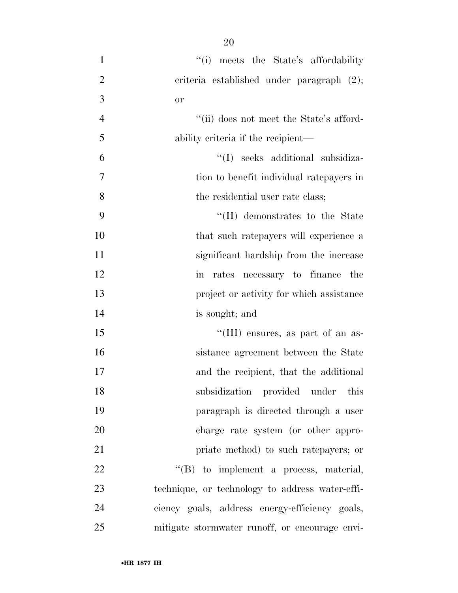1 ''(i) meets the State's affordability 2 criteria established under paragraph  $(2)$ ; or ''(ii) does not meet the State's afford- ability criteria if the recipient— ''(I) seeks additional subsidiza- tion to benefit individual ratepayers in 8 the residential user rate class;  $\frac{1}{2}$  (II) demonstrates to the State that such ratepayers will experience a significant hardship from the increase in rates necessary to finance the **project or activity for which assistance**  is sought; and  $\frac{1}{10}$  ensures, as part of an as- sistance agreement between the State and the recipient, that the additional subsidization provided under this paragraph is directed through a user

charge rate system (or other appro-

priate method) to such ratepayers; or

22  $\text{``(B)}$  to implement a process, material,

technique, or technology to address water-effi-

ciency goals, address energy-efficiency goals,

mitigate stormwater runoff, or encourage envi-

•**HR 1877 IH**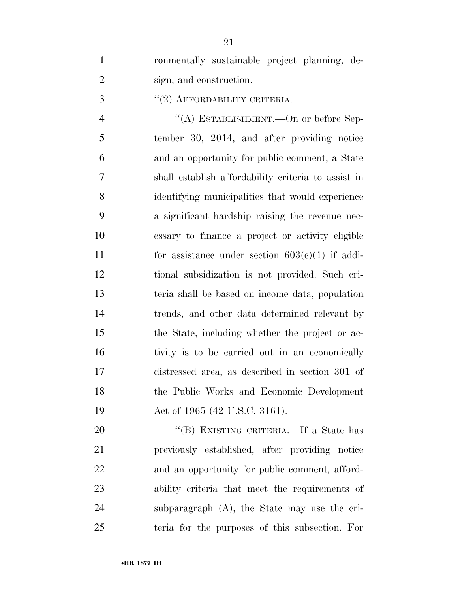|   | ronmentally sustainable project planning, de- |  |  |
|---|-----------------------------------------------|--|--|
| 2 | sign, and construction.                       |  |  |

''(2) AFFORDABILITY CRITERIA.—

 $((A)$  ESTABLISHMENT.—On or before Sep- tember 30, 2014, and after providing notice and an opportunity for public comment, a State shall establish affordability criteria to assist in identifying municipalities that would experience a significant hardship raising the revenue nec- essary to finance a project or activity eligible 11 for assistance under section  $603(c)(1)$  if addi- tional subsidization is not provided. Such cri- teria shall be based on income data, population trends, and other data determined relevant by the State, including whether the project or ac- tivity is to be carried out in an economically distressed area, as described in section 301 of the Public Works and Economic Development 19 Act of 1965 (42 U.S.C. 3161).

20 "(B) EXISTING CRITERIA.—If a State has previously established, after providing notice and an opportunity for public comment, afford- ability criteria that meet the requirements of subparagraph (A), the State may use the cri-teria for the purposes of this subsection. For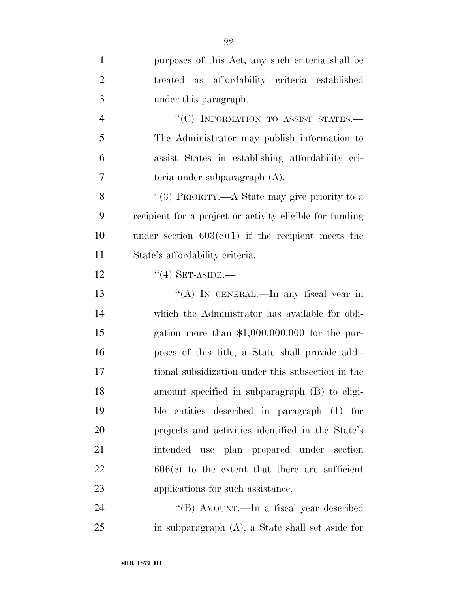| $\mathbf{1}$   | purposes of this Act, any such criteria shall be         |
|----------------|----------------------------------------------------------|
| $\overline{2}$ | treated as affordability criteria established            |
| 3              | under this paragraph.                                    |
| $\overline{4}$ | "(C) INFORMATION TO ASSIST STATES.-                      |
| 5              | The Administrator may publish information to             |
| 6              | assist States in establishing affordability cri-         |
| 7              | teria under subparagraph (A).                            |
| 8              | "(3) PRIORITY.—A State may give priority to a            |
| 9              | recipient for a project or activity eligible for funding |
| 10             | under section $603(c)(1)$ if the recipient meets the     |
| 11             | State's affordability criteria.                          |
| 12             | $``(4)$ SET-ASIDE.—                                      |
| 13             | "(A) IN GENERAL.—In any fiscal year in                   |
| 14             | which the Administrator has available for obli-          |
| 15             | gation more than $$1,000,000,000$ for the pur-           |
| 16             | poses of this title, a State shall provide addi-         |
| 17             | tional subsidization under this subsection in the        |
| 18             | amount specified in subparagraph (B) to eligi-           |
| 19             | ble entities described in paragraph (1) for              |
| 20             | projects and activities identified in the State's        |
| 21             | intended use plan prepared under section                 |
| 22             | $606(c)$ to the extent that there are sufficient         |
| 23             | applications for such assistance.                        |
| 24             | "(B) AMOUNT.—In a fiscal year described                  |
|                |                                                          |

in subparagraph (A), a State shall set aside for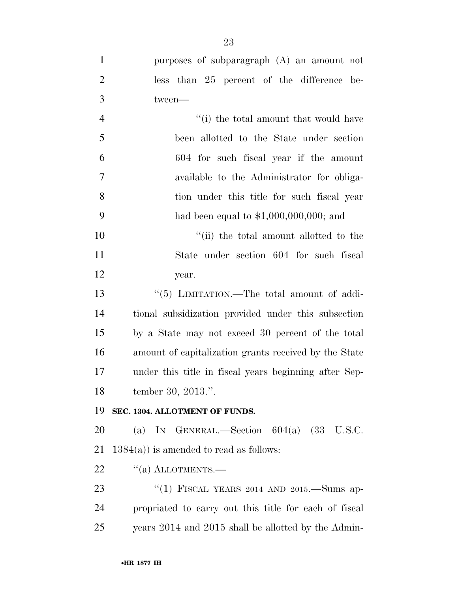| $\mathbf{1}$   | purposes of subparagraph (A) an amount not            |
|----------------|-------------------------------------------------------|
| $\overline{2}$ | less than 25 percent of the difference be-            |
| 3              | tween-                                                |
| $\overline{4}$ | "(i) the total amount that would have                 |
| 5              | been allotted to the State under section              |
| 6              | 604 for such fiscal year if the amount                |
| $\overline{7}$ | available to the Administrator for obliga-            |
| 8              | tion under this title for such fiscal year            |
| 9              | had been equal to $$1,000,000,000;$ and               |
| 10             | "(ii) the total amount allotted to the                |
| 11             | State under section 604 for such fiscal               |
| 12             | year.                                                 |
| 13             | "(5) LIMITATION.—The total amount of addi-            |
| 14             | tional subsidization provided under this subsection   |
| 15             | by a State may not exceed 30 percent of the total     |
| 16             | amount of capitalization grants received by the State |
| 17             | under this title in fiscal years beginning after Sep- |
| 18             | tember 30, 2013.".                                    |
| 19             | SEC. 1304. ALLOTMENT OF FUNDS.                        |
| 20             | (a) IN GENERAL.—Section $604(a)$ (33 U.S.C.           |
| 21             | $1384(a)$ ) is amended to read as follows:            |
| 22             | $``(a)$ ALLOTMENTS.—                                  |
| 23             | "(1) FISCAL YEARS 2014 AND 2015.—Sums ap-             |
| 24             | propriated to carry out this title for each of fiscal |
| 25             | years 2014 and 2015 shall be allotted by the Admin-   |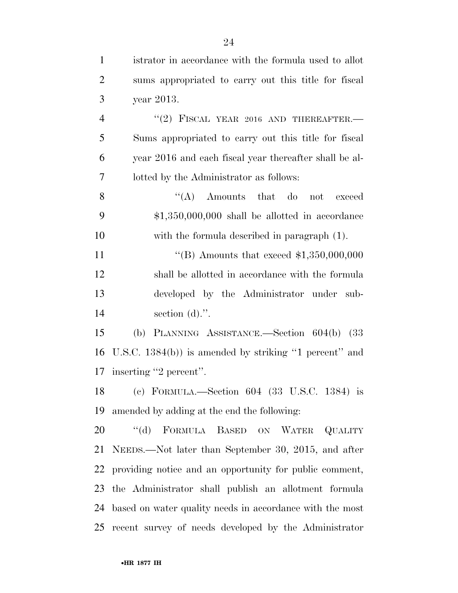istrator in accordance with the formula used to allot sums appropriated to carry out this title for fiscal year 2013.  $(2)$  FISCAL YEAR 2016 AND THEREAFTER. Sums appropriated to carry out this title for fiscal year 2016 and each fiscal year thereafter shall be al- lotted by the Administrator as follows: 8 ''(A) Amounts that do not exceed \$1,350,000,000 shall be allotted in accordance with the formula described in paragraph (1). 11 "(B) Amounts that exceed \$1,350,000,000 shall be allotted in accordance with the formula developed by the Administrator under sub- section (d).''. (b) PLANNING ASSISTANCE.—Section 604(b) (33 U.S.C. 1384(b)) is amended by striking ''1 percent'' and inserting ''2 percent''. (c) FORMULA.—Section 604 (33 U.S.C. 1384) is amended by adding at the end the following: 20 "(d) FORMULA BASED ON WATER QUALITY NEEDS.—Not later than September 30, 2015, and after providing notice and an opportunity for public comment, the Administrator shall publish an allotment formula based on water quality needs in accordance with the most recent survey of needs developed by the Administrator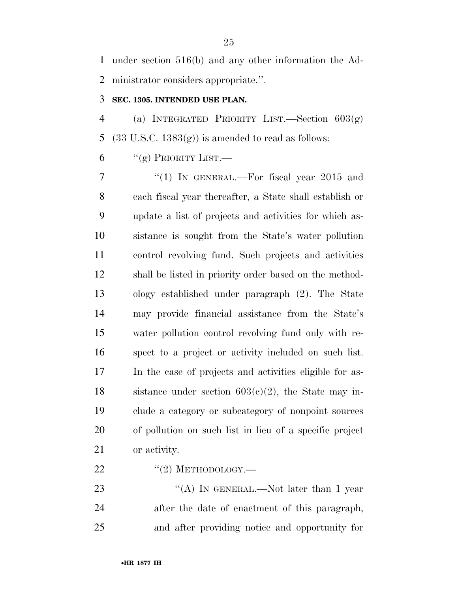under section 516(b) and any other information the Ad-ministrator considers appropriate.''.

# **SEC. 1305. INTENDED USE PLAN.**

 (a) INTEGRATED PRIORITY LIST.—Section 603(g) 5 (33 U.S.C.  $1383(g)$ ) is amended to read as follows:

6  $``(g)$  PRIORITY LIST.

7 "(1) In GENERAL.—For fiscal year 2015 and each fiscal year thereafter, a State shall establish or update a list of projects and activities for which as- sistance is sought from the State's water pollution control revolving fund. Such projects and activities shall be listed in priority order based on the method- ology established under paragraph (2). The State may provide financial assistance from the State's water pollution control revolving fund only with re- spect to a project or activity included on such list. In the case of projects and activities eligible for as-18 sistance under section  $603(c)(2)$ , the State may in- clude a category or subcategory of nonpoint sources of pollution on such list in lieu of a specific project or activity.

 $\frac{12}{22}$  ''(2) METHODOLOGY.—

23 "(A) IN GENERAL.—Not later than 1 year after the date of enactment of this paragraph, and after providing notice and opportunity for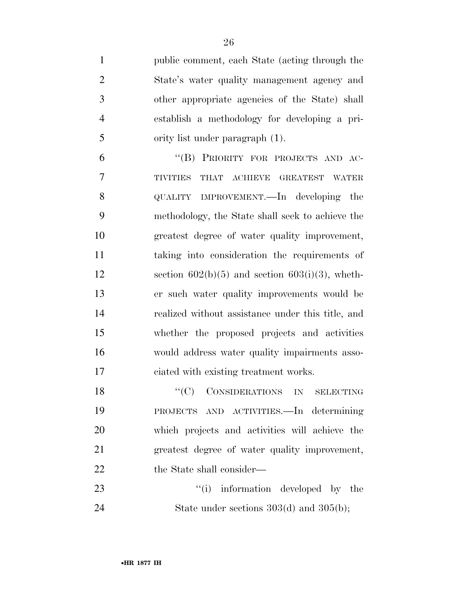| $\mathbf{1}$    | public comment, each State (acting through the       |
|-----------------|------------------------------------------------------|
| $\overline{2}$  | State's water quality management agency and          |
| 3               | other appropriate agencies of the State) shall       |
| $\overline{4}$  | establish a methodology for developing a pri-        |
| 5               | ority list under paragraph (1).                      |
| 6               | "(B) PRIORITY FOR PROJECTS AND AC-                   |
| 7               | THAT<br><b>TIVITIES</b><br>ACHIEVE<br>GREATEST WATER |
| 8               | QUALITY IMPROVEMENT.—In developing<br>the            |
| 9               | methodology, the State shall seek to achieve the     |
| 10              | greatest degree of water quality improvement,        |
| 11              | taking into consideration the requirements of        |
| 12              | section $602(b)(5)$ and section $603(i)(3)$ , wheth- |
| 13              | er such water quality improvements would be          |
| 14              | realized without assistance under this title, and    |
| 15              | whether the proposed projects and activities         |
| 16              | would address water quality impairments asso-        |
| 17              | ciated with existing treatment works.                |
| $\overline{10}$ | $(110)$ $\alpha$ $\beta$                             |

18 "(C) CONSIDERATIONS IN SELECTING PROJECTS AND ACTIVITIES.—In determining which projects and activities will achieve the greatest degree of water quality improvement, 22 the State shall consider—

23 ''(i) information developed by the 24 State under sections 303(d) and 305(b);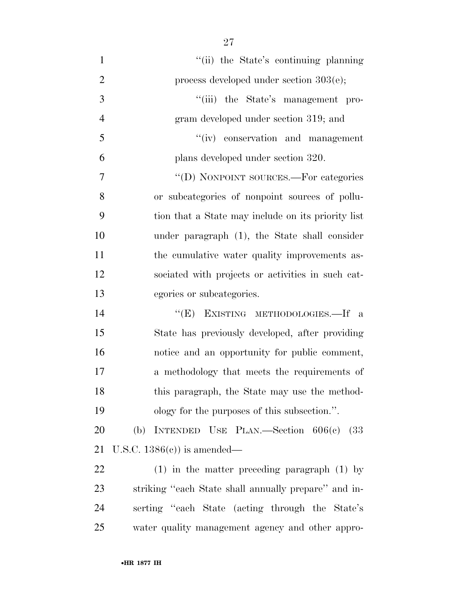1 ''(ii) the State's continuing planning 2 process developed under section  $303(e)$ ; 3 ''(iii) the State's management pro- gram developed under section 319; and ''(iv) conservation and management plans developed under section 320. 7 "'(D) NONPOINT SOURCES.—For categories or subcategories of nonpoint sources of pollu- tion that a State may include on its priority list under paragraph (1), the State shall consider 11 the cumulative water quality improvements as- sociated with projects or activities in such cat-egories or subcategories.

14 "(E) EXISTING METHODOLOGIES. If a State has previously developed, after providing notice and an opportunity for public comment, a methodology that meets the requirements of this paragraph, the State may use the method-ology for the purposes of this subsection.''.

 (b) INTENDED USE PLAN.—Section 606(c) (33 U.S.C. 1386(c)) is amended—

 (1) in the matter preceding paragraph (1) by striking ''each State shall annually prepare'' and in- serting ''each State (acting through the State's water quality management agency and other appro-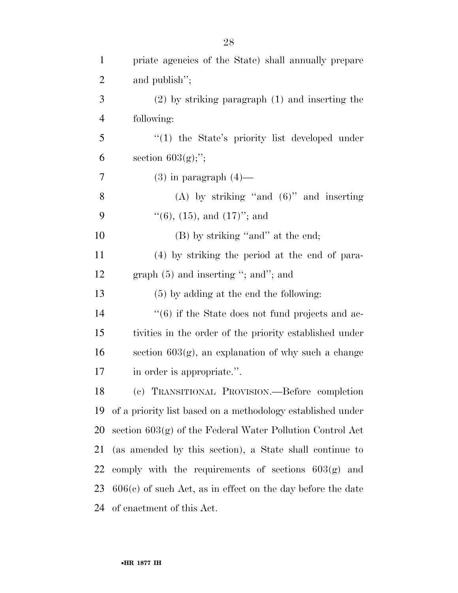| $\mathbf{1}$   | priate agencies of the State) shall annually prepare          |
|----------------|---------------------------------------------------------------|
| $\overline{2}$ | and publish";                                                 |
| 3              | $(2)$ by striking paragraph $(1)$ and inserting the           |
| $\overline{4}$ | following:                                                    |
| 5              | "(1) the State's priority list developed under                |
| 6              | section $603(g);$ ";                                          |
| 7              | $(3)$ in paragraph $(4)$ —                                    |
| 8              | (A) by striking "and $(6)$ " and inserting                    |
| 9              | $\lq(6)$ , (15), and (17)''; and                              |
| 10             | (B) by striking "and" at the end;                             |
| 11             | (4) by striking the period at the end of para-                |
| 12             | graph $(5)$ and inserting "; and"; and                        |
| 13             | $(5)$ by adding at the end the following:                     |
| 14             | $``(6)$ if the State does not fund projects and ac-           |
| 15             | tivities in the order of the priority established under       |
| 16             | section $603(g)$ , an explanation of why such a change        |
| 17             | in order is appropriate.".                                    |
| 18             | (c) TRANSITIONAL PROVISION. - Before completion               |
| 19             | of a priority list based on a methodology established under   |
| 20             | section $603(g)$ of the Federal Water Pollution Control Act   |
| 21             | (as amended by this section), a State shall continue to       |
| 22             | comply with the requirements of sections $603(g)$ and         |
| 23             | $606(c)$ of such Act, as in effect on the day before the date |
| 24             | of enactment of this Act.                                     |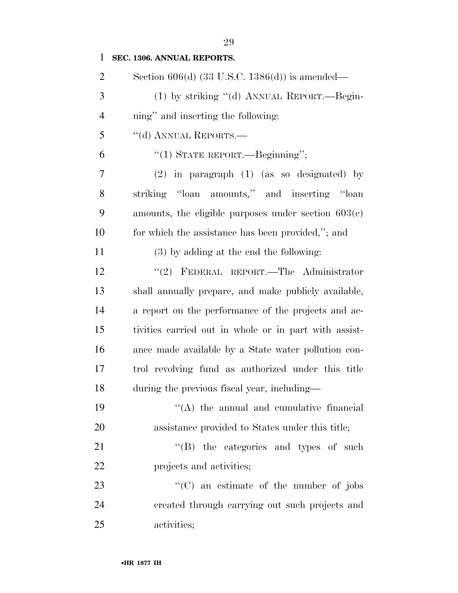| $\mathbf{1}$   | SEC. 1306. ANNUAL REPORTS.                            |
|----------------|-------------------------------------------------------|
| $\overline{2}$ | Section $606(d)$ (33 U.S.C. 1386(d)) is amended—      |
| 3              | (1) by striking "(d) ANNUAL REPORT.—Begin-            |
| 4              | ning" and inserting the following:                    |
| 5              | "(d) ANNUAL REPORTS.—                                 |
| 6              | "(1) STATE REPORT.—Beginning";                        |
| 7              | $(2)$ in paragraph $(1)$ (as so designated) by        |
| 8              | striking "loan amounts," and inserting "loan          |
| 9              | amounts, the eligible purposes under section $603(c)$ |
| 10             | for which the assistance has been provided,"; and     |
| 11             | $(3)$ by adding at the end the following:             |
| 12             | "(2) FEDERAL REPORT.—The Administrator                |
| 13             | shall annually prepare, and make publicly available,  |
| 14             | a report on the performance of the projects and ac-   |
| 15             | tivities carried out in whole or in part with assist- |
| 16             | ance made available by a State water pollution con-   |
| 17             | trol revolving fund as authorized under this title    |
| 18             | during the previous fiscal year, including—           |
| 19             | $\lq\lq$ the annual and cumulative financial          |
| 20             | assistance provided to States under this title;       |
| 21             | $\lq\lq$ (B) the categories and types of such         |
| 22             | projects and activities;                              |
| 23             | $\lq\lq$ (C) an estimate of the number of jobs        |
| 24             | created through carrying out such projects and        |
| 25             | activities;                                           |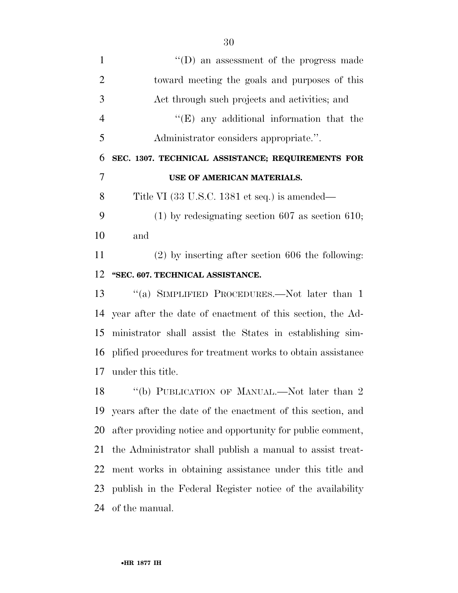| $\mathbf{1}$   | $\lq\lq$ (D) an assessment of the progress made             |
|----------------|-------------------------------------------------------------|
| $\overline{2}$ | toward meeting the goals and purposes of this               |
| 3              | Act through such projects and activities; and               |
| $\overline{4}$ | $\lq\lq(E)$ any additional information that the             |
| 5              | Administrator considers appropriate.".                      |
| 6              | SEC. 1307. TECHNICAL ASSISTANCE; REQUIREMENTS FOR           |
| $\overline{7}$ | USE OF AMERICAN MATERIALS.                                  |
| 8              | Title VI (33 U.S.C. 1381 et seq.) is amended—               |
| 9              | $(1)$ by redesignating section 607 as section 610;          |
| 10             | and                                                         |
| 11             | $(2)$ by inserting after section 606 the following:         |
| 12             | "SEC. 607. TECHNICAL ASSISTANCE.                            |
| 13             | "(a) SIMPLIFIED PROCEDURES.—Not later than 1                |
| 14             | year after the date of enactment of this section, the Ad-   |
| 15             | ministrator shall assist the States in establishing sim-    |
| 16             | plified procedures for treatment works to obtain assistance |
| 17             | under this title.                                           |
| 18             | "(b) PUBLICATION OF MANUAL.—Not later than 2                |
|                |                                                             |

 years after the date of the enactment of this section, and after providing notice and opportunity for public comment, the Administrator shall publish a manual to assist treat- ment works in obtaining assistance under this title and publish in the Federal Register notice of the availability of the manual.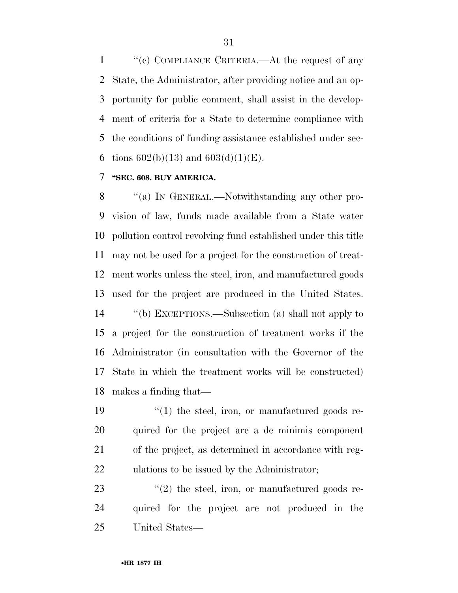1 ''(c) COMPLIANCE CRITERIA.—At the request of any State, the Administrator, after providing notice and an op- portunity for public comment, shall assist in the develop- ment of criteria for a State to determine compliance with the conditions of funding assistance established under sec-6 tions  $602(b)(13)$  and  $603(d)(1)(E)$ .

## **''SEC. 608. BUY AMERICA.**

8 "(a) IN GENERAL.—Notwithstanding any other pro- vision of law, funds made available from a State water pollution control revolving fund established under this title may not be used for a project for the construction of treat- ment works unless the steel, iron, and manufactured goods used for the project are produced in the United States. ''(b) EXCEPTIONS.—Subsection (a) shall not apply to a project for the construction of treatment works if the Administrator (in consultation with the Governor of the State in which the treatment works will be constructed) makes a finding that—

 $\frac{1}{2}$  (1) the steel, iron, or manufactured goods re- quired for the project are a de minimis component of the project, as determined in accordance with reg-ulations to be issued by the Administrator;

 ''(2) the steel, iron, or manufactured goods re- quired for the project are not produced in the United States—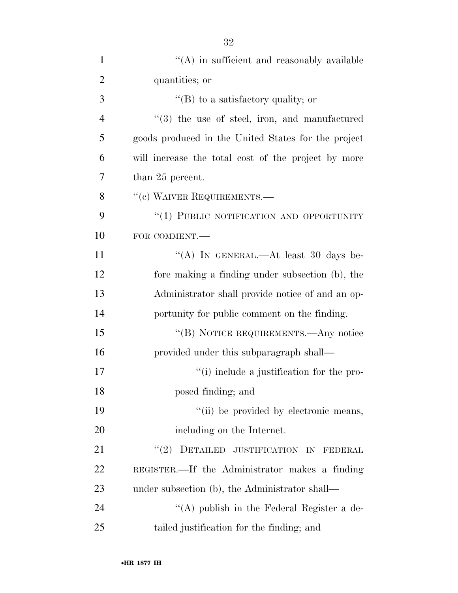| $\mathbf{1}$   | $\lq\lq$ in sufficient and reasonably available     |
|----------------|-----------------------------------------------------|
| $\overline{2}$ | quantities; or                                      |
| 3              | "(B) to a satisfactory quality; or                  |
| $\overline{4}$ | $(3)$ the use of steel, iron, and manufactured      |
| 5              | goods produced in the United States for the project |
| 6              | will increase the total cost of the project by more |
| 7              | than 25 percent.                                    |
| 8              | "(c) WAIVER REQUIREMENTS.-                          |
| 9              | "(1) PUBLIC NOTIFICATION AND OPPORTUNITY            |
| 10             | FOR COMMENT.                                        |
| 11             | "(A) IN GENERAL.—At least 30 days be-               |
| 12             | fore making a finding under subsection (b), the     |
| 13             | Administrator shall provide notice of and an op-    |
| 14             | portunity for public comment on the finding.        |
| 15             | "(B) NOTICE REQUIREMENTS.—Any notice                |
| 16             | provided under this subparagraph shall—             |
| 17             | "(i) include a justification for the pro-           |
| 18             | posed finding; and                                  |
| 19             | "(ii) be provided by electronic means,              |
| 20             | including on the Internet.                          |
| 21             | DETAILED JUSTIFICATION IN FEDERAL<br>(2)            |
| 22             | REGISTER.—If the Administrator makes a finding      |
| 23             | under subsection (b), the Administrator shall—      |
| 24             | "(A) publish in the Federal Register a de-          |
| 25             | tailed justification for the finding; and           |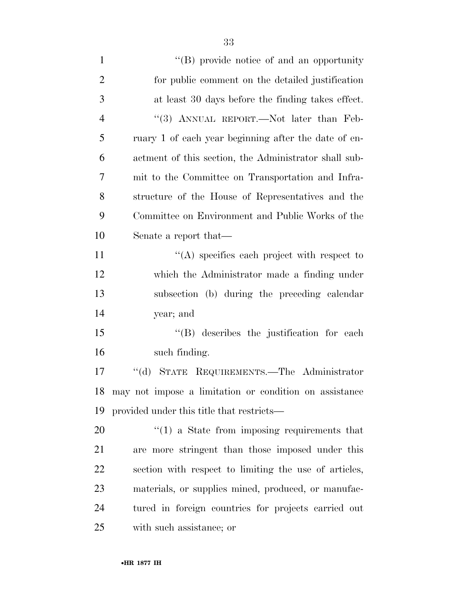| $\mathbf{1}$   | $\lq\lq (B)$ provide notice of and an opportunity      |
|----------------|--------------------------------------------------------|
| $\overline{2}$ | for public comment on the detailed justification       |
| 3              | at least 30 days before the finding takes effect.      |
| $\overline{4}$ | "(3) ANNUAL REPORT.—Not later than Feb-                |
| 5              | ruary 1 of each year beginning after the date of en-   |
| 6              | actment of this section, the Administrator shall sub-  |
| 7              | mit to the Committee on Transportation and Infra-      |
| 8              | structure of the House of Representatives and the      |
| 9              | Committee on Environment and Public Works of the       |
| 10             | Senate a report that—                                  |
| 11             | $\lq\lq$ specifies each project with respect to        |
| 12             | which the Administrator made a finding under           |
| 13             | subsection (b) during the preceding calendar           |
| 14             | year; and                                              |
| 15             | $\lq\lq$ describes the justification for each          |
| 16             | such finding.                                          |
| 17             | "(d) STATE REQUIREMENTS.—The Administrator             |
| 18             | may not impose a limitation or condition on assistance |
| 19             | provided under this title that restricts—              |
| 20             | $f'(1)$ a State from imposing requirements that        |
| 21             | are more stringent than those imposed under this       |
| 22             | section with respect to limiting the use of articles,  |
| 23             | materials, or supplies mined, produced, or manufac-    |
| 24             | tured in foreign countries for projects carried out    |
| 25             | with such assistance; or                               |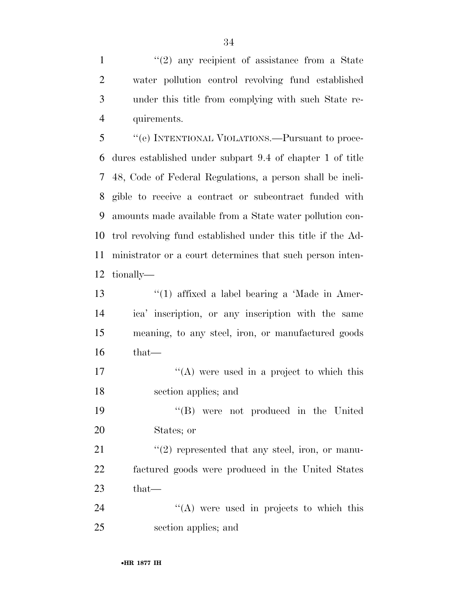$\frac{1}{2}$  any recipient of assistance from a State water pollution control revolving fund established under this title from complying with such State re-quirements.

 ''(e) INTENTIONAL VIOLATIONS.—Pursuant to proce- dures established under subpart 9.4 of chapter 1 of title 48, Code of Federal Regulations, a person shall be ineli- gible to receive a contract or subcontract funded with amounts made available from a State water pollution con- trol revolving fund established under this title if the Ad- ministrator or a court determines that such person inten-tionally—

13 ''(1) affixed a label bearing a 'Made in Amer- ica' inscription, or any inscription with the same meaning, to any steel, iron, or manufactured goods that—

17  $\langle (A)$  were used in a project to which this section applies; and

 ''(B) were not produced in the United States; or

21 ''(2) represented that any steel, iron, or manu- factured goods were produced in the United States that—

24 ''(A) were used in projects to which this section applies; and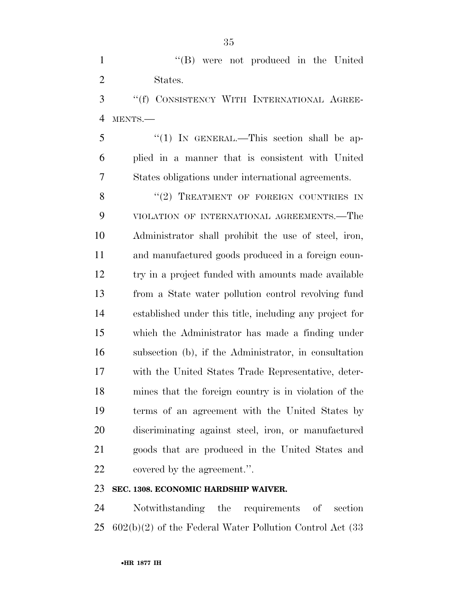1 ''(B) were not produced in the United States.

 ''(f) CONSISTENCY WITH INTERNATIONAL AGREE-MENTS.—

5 "(1) IN GENERAL.—This section shall be ap- plied in a manner that is consistent with United States obligations under international agreements.

8 "(2) TREATMENT OF FOREIGN COUNTRIES IN VIOLATION OF INTERNATIONAL AGREEMENTS.—The Administrator shall prohibit the use of steel, iron, and manufactured goods produced in a foreign coun-12 try in a project funded with amounts made available from a State water pollution control revolving fund established under this title, including any project for which the Administrator has made a finding under subsection (b), if the Administrator, in consultation with the United States Trade Representative, deter- mines that the foreign country is in violation of the terms of an agreement with the United States by discriminating against steel, iron, or manufactured goods that are produced in the United States and covered by the agreement.''.

# **SEC. 1308. ECONOMIC HARDSHIP WAIVER.**

 Notwithstanding the requirements of section 602(b)(2) of the Federal Water Pollution Control Act (33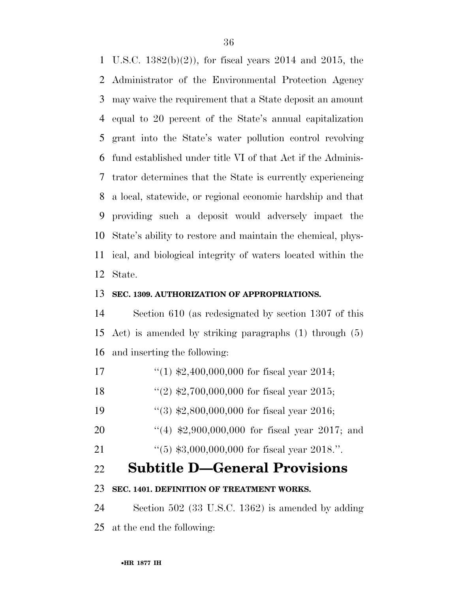U.S.C. 1382(b)(2)), for fiscal years 2014 and 2015, the Administrator of the Environmental Protection Agency may waive the requirement that a State deposit an amount equal to 20 percent of the State's annual capitalization grant into the State's water pollution control revolving fund established under title VI of that Act if the Adminis- trator determines that the State is currently experiencing a local, statewide, or regional economic hardship and that providing such a deposit would adversely impact the State's ability to restore and maintain the chemical, phys- ical, and biological integrity of waters located within the State.

# **SEC. 1309. AUTHORIZATION OF APPROPRIATIONS.**

 Section 610 (as redesignated by section 1307 of this Act) is amended by striking paragraphs (1) through (5) and inserting the following:

- ''(1) \$2,400,000,000 for fiscal year 2014;
- 18 ''(2) \$2,700,000,000 for fiscal year 2015;
- 19 ''(3) \$2,800,000,000 for fiscal year 2016;
- 20 "(4) \$2,900,000,000 for fiscal year 2017; and
- ''(5) \$3,000,000,000 for fiscal year 2018.''.

# **Subtitle D—General Provisions**

## **SEC. 1401. DEFINITION OF TREATMENT WORKS.**

 Section 502 (33 U.S.C. 1362) is amended by adding at the end the following: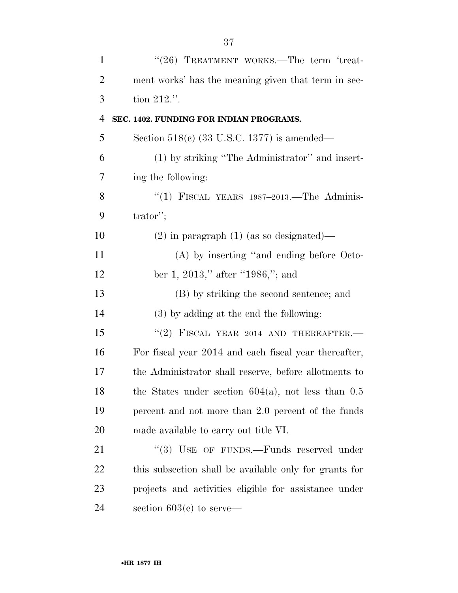| $\mathbf{1}$   | "(26) TREATMENT WORKS.—The term 'treat-                |
|----------------|--------------------------------------------------------|
| $\overline{2}$ | ment works' has the meaning given that term in sec-    |
| 3              | tion $212$ .".                                         |
| $\overline{4}$ | SEC. 1402. FUNDING FOR INDIAN PROGRAMS.                |
| 5              | Section $518(c)$ (33 U.S.C. 1377) is amended—          |
| 6              | (1) by striking "The Administrator" and insert-        |
| 7              | ing the following:                                     |
| 8              | "(1) FISCAL YEARS $1987-2013$ . The Adminis-           |
| 9              | $\text{trator}$ ";                                     |
| 10             | $(2)$ in paragraph $(1)$ (as so designated)—           |
| 11             | (A) by inserting "and ending before Octo-              |
| 12             | ber 1, 2013," after "1986,"; and                       |
| 13             | (B) by striking the second sentence; and               |
| 14             | $(3)$ by adding at the end the following:              |
| 15             | "(2) FISCAL YEAR 2014 AND THEREAFTER.                  |
| 16             | For fiscal year 2014 and each fiscal year thereafter,  |
| 17             | the Administrator shall reserve, before allotments to  |
| 18             | the States under section $604(a)$ , not less than 0.5  |
| 19             | percent and not more than 2.0 percent of the funds     |
| 20             | made available to carry out title VI.                  |
| 21             | "(3) USE OF FUNDS.—Funds reserved under                |
| 22             | this subsection shall be available only for grants for |
| 23             | projects and activities eligible for assistance under  |
| 24             | section $603(c)$ to serve—                             |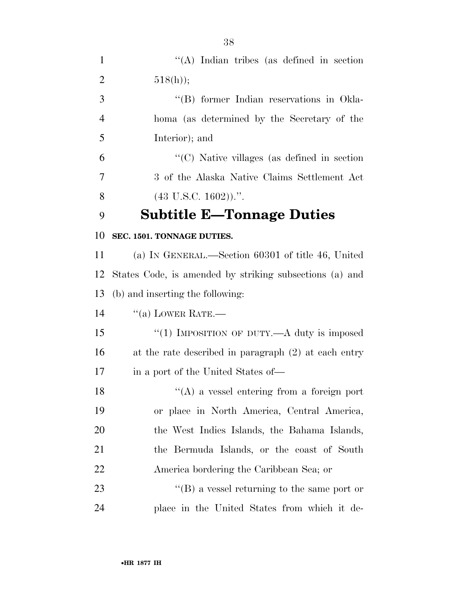| $\mathbf{1}$   | $\lq\lq$ . Indian tribes (as defined in section)        |
|----------------|---------------------------------------------------------|
| $\overline{2}$ | $518(h)$ ;                                              |
| 3              | "(B) former Indian reservations in Okla-                |
| $\overline{4}$ | homa (as determined by the Secretary of the             |
| 5              | Interior); and                                          |
| 6              | " $(C)$ Native villages (as defined in section)"        |
| 7              | 3 of the Alaska Native Claims Settlement Act            |
| 8              | $(43 \text{ U.S.C. } 1602))$ .".                        |
| 9              | <b>Subtitle E-Tonnage Duties</b>                        |
| 10             | SEC. 1501. TONNAGE DUTIES.                              |
| 11             | (a) IN GENERAL.—Section 60301 of title 46, United       |
| 12             | States Code, is amended by striking subsections (a) and |
| 13             | (b) and inserting the following:                        |
| 14             | $``(a)$ LOWER RATE.—                                    |
| 15             | "(1) IMPOSITION OF DUTY.—A duty is imposed              |
| 16             | at the rate described in paragraph (2) at each entry    |
| 17             | in a port of the United States of—                      |
| 18             | $\lq\lq$ a vessel entering from a foreign port          |
| 19             | or place in North America, Central America,             |
| 20             | the West Indies Islands, the Bahama Islands,            |
| 21             | the Bermuda Islands, or the coast of South              |
| 22             | America bordering the Caribbean Sea; or                 |
| 23             | $\lq\lq (B)$ a vessel returning to the same port or     |
| 24             | place in the United States from which it de-            |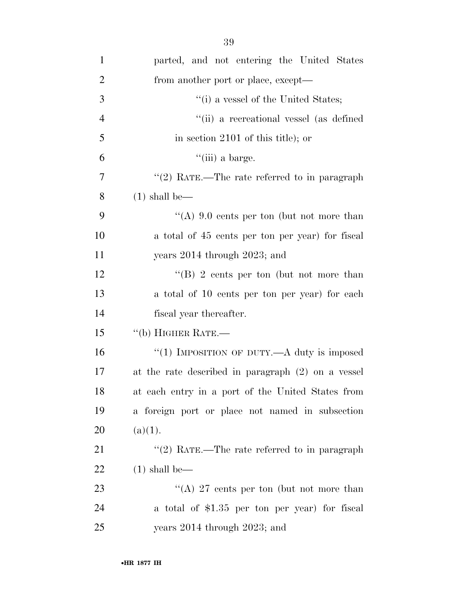| $\mathbf{1}$   | parted, and not entering the United States         |
|----------------|----------------------------------------------------|
| $\overline{2}$ | from another port or place, except—                |
| 3              | "(i) a vessel of the United States;                |
| $\overline{4}$ | "(ii) a recreational vessel (as defined            |
| 5              | in section $2101$ of this title); or               |
| 6              | $\lq$ (iii) a barge.                               |
| 7              | "(2) RATE.—The rate referred to in paragraph       |
| 8              | $(1)$ shall be—                                    |
| 9              | "(A) $9.0$ cents per ton (but not more than        |
| 10             | a total of 45 cents per ton per year) for fiscal   |
| <sup>11</sup>  | years $2014$ through $2023$ ; and                  |
| 12             | "(B) 2 cents per ton (but not more than            |
| 13             | a total of 10 cents per ton per year) for each     |
| 14             | fiscal year thereafter.                            |
| 15             | "(b) HIGHER RATE.—                                 |
| 16             | "(1) IMPOSITION OF DUTY.—A duty is imposed         |
| 17             | at the rate described in paragraph (2) on a vessel |
| 18             | at each entry in a port of the United States from  |
| 19             | a foreign port or place not named in subsection    |
| 20             | (a)(1).                                            |
| 21             | "(2) RATE.—The rate referred to in paragraph       |
| <u>22</u>      | $(1)$ shall be—                                    |
| 23             | "(A) 27 cents per ton (but not more than           |
| 24             | a total of \$1.35 per ton per year) for fiscal     |
| 25             | years $2014$ through $2023$ ; and                  |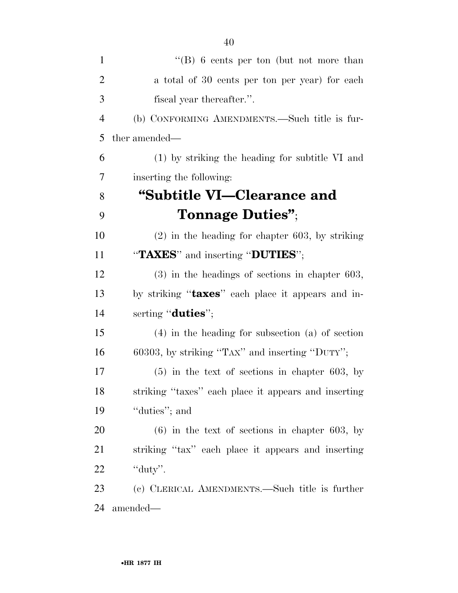| $\mathbf{1}$   | "(B) 6 cents per ton (but not more than              |
|----------------|------------------------------------------------------|
| $\overline{2}$ | a total of 30 cents per ton per year) for each       |
| 3              | fiscal year thereafter.".                            |
| $\overline{4}$ | (b) CONFORMING AMENDMENTS.—Such title is fur-        |
| 5              | ther amended—                                        |
| 6              | (1) by striking the heading for subtitle VI and      |
| 7              | inserting the following:                             |
| 8              | "Subtitle VI-Clearance and                           |
| 9              | Tonnage Duties";                                     |
| 10             | $(2)$ in the heading for chapter 603, by striking    |
| 11             | "TAXES" and inserting "DUTIES";                      |
| 12             | $(3)$ in the headings of sections in chapter 603,    |
| 13             | by striking "taxes" each place it appears and in-    |
| 14             | serting "duties";                                    |
| 15             | $(4)$ in the heading for subsection $(a)$ of section |
| 16             | 60303, by striking "TAX" and inserting "DUTY";       |
| 17             | $(5)$ in the text of sections in chapter 603, by     |
| 18             | striking "taxes" each place it appears and inserting |
| 19             | "duties"; and                                        |
| 20             | $(6)$ in the text of sections in chapter 603, by     |
| 21             | striking "tax" each place it appears and inserting   |
| 22             | "duty".                                              |
| 23             | (c) CLERICAL AMENDMENTS.—Such title is further       |
| 24             | amended—                                             |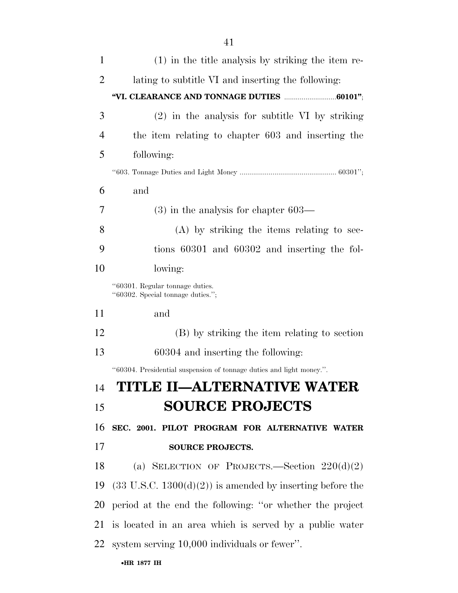| $\mathbf{1}$   | $(1)$ in the title analysis by striking the item re-                 |
|----------------|----------------------------------------------------------------------|
| $\overline{2}$ | lating to subtitle VI and inserting the following:                   |
|                |                                                                      |
| 3              | $(2)$ in the analysis for subtitle VI by striking                    |
| 4              | the item relating to chapter 603 and inserting the                   |
| 5              | following:                                                           |
|                |                                                                      |
| 6              | and                                                                  |
| 7              | $(3)$ in the analysis for chapter 603—                               |
| 8              | $(A)$ by striking the items relating to sec-                         |
| 9              | tions 60301 and 60302 and inserting the fol-                         |
| 10             | lowing:                                                              |
|                | "60301. Regular tonnage duties.<br>"60302. Special tonnage duties."; |
| 11             | and                                                                  |
| 12             | (B) by striking the item relating to section                         |
| 13             | 60304 and inserting the following:                                   |
|                | "60304. Presidential suspension of tonnage duties and light money.". |
| 14             | TITLE II-ALTERNATIVE WATER                                           |
| 15             | <b>SOURCE PROJECTS</b>                                               |
| 16             | SEC. 2001. PILOT PROGRAM FOR ALTERNATIVE WATER                       |
| 17             | <b>SOURCE PROJECTS.</b>                                              |
| 18             | (a) SELECTION OF PROJECTS.—Section $220(d)(2)$                       |
| 19             | $(33 \text{ U.S.C. } 1300(d)(2))$ is amended by inserting before the |
| 20             | period at the end the following: "or whether the project             |
| 21             | is located in an area which is served by a public water              |
| 22             | system serving 10,000 individuals or fewer".                         |
|                | •HR 1877 IH                                                          |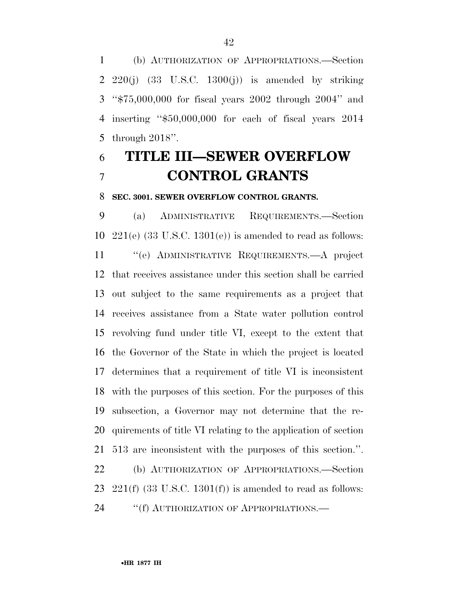(b) AUTHORIZATION OF APPROPRIATIONS.—Section 2 220(j)  $(33 \text{ U.S.C. } 1300(j))$  is amended by striking ''\$75,000,000 for fiscal years 2002 through 2004'' and inserting ''\$50,000,000 for each of fiscal years 2014 through 2018''.

# **TITLE III—SEWER OVERFLOW CONTROL GRANTS**

#### **SEC. 3001. SEWER OVERFLOW CONTROL GRANTS.**

 (a) ADMINISTRATIVE REQUIREMENTS.—Section  $221(e)$  (33 U.S.C. 1301(e)) is amended to read as follows: ''(e) ADMINISTRATIVE REQUIREMENTS.—A project that receives assistance under this section shall be carried out subject to the same requirements as a project that receives assistance from a State water pollution control revolving fund under title VI, except to the extent that the Governor of the State in which the project is located determines that a requirement of title VI is inconsistent with the purposes of this section. For the purposes of this subsection, a Governor may not determine that the re- quirements of title VI relating to the application of section 513 are inconsistent with the purposes of this section.''. (b) AUTHORIZATION OF APPROPRIATIONS.—Section  $221(f)$  (33 U.S.C. 1301(f)) is amended to read as follows: 24 ""(f) AUTHORIZATION OF APPROPRIATIONS.—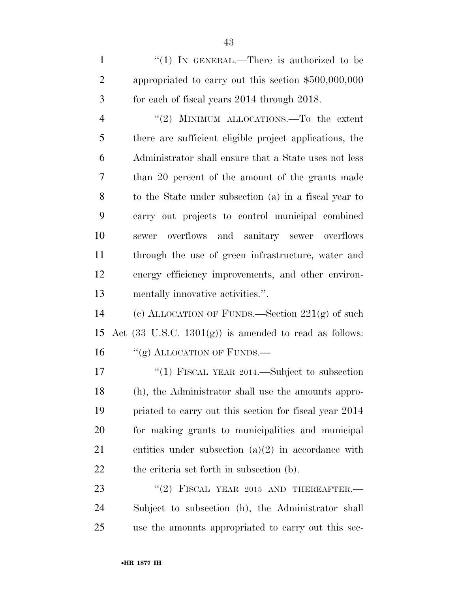1 "(1) IN GENERAL.—There is authorized to be appropriated to carry out this section \$500,000,000 for each of fiscal years 2014 through 2018.

4 "(2) MINIMUM ALLOCATIONS.—To the extent there are sufficient eligible project applications, the Administrator shall ensure that a State uses not less than 20 percent of the amount of the grants made to the State under subsection (a) in a fiscal year to carry out projects to control municipal combined sewer overflows and sanitary sewer overflows through the use of green infrastructure, water and energy efficiency improvements, and other environ-mentally innovative activities.''.

 (c) ALLOCATION OF FUNDS.—Section 221(g) of such 15 Act  $(33 \text{ U.S.C. } 1301(\text{g}))$  is amended to read as follows: 16 "(g) ALLOCATION OF FUNDS.—

17 "(1) FISCAL YEAR 2014.—Subject to subsection (h), the Administrator shall use the amounts appro- priated to carry out this section for fiscal year 2014 for making grants to municipalities and municipal entities under subsection (a)(2) in accordance with the criteria set forth in subsection (b).

23 "(2) FISCAL YEAR 2015 AND THEREAFTER. Subject to subsection (h), the Administrator shall use the amounts appropriated to carry out this sec-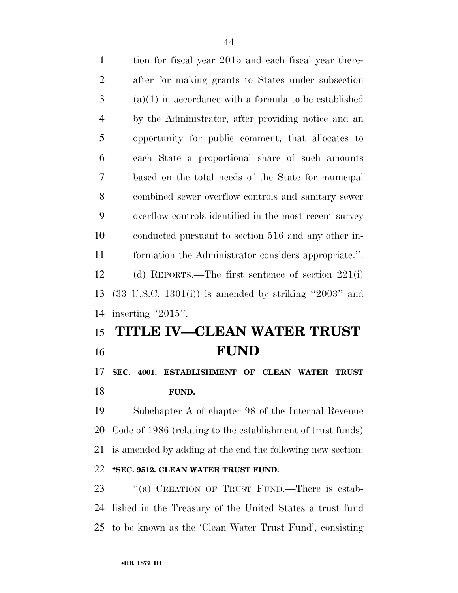| $\mathbf{1}$   | tion for fiscal year 2015 and each fiscal year there-            |
|----------------|------------------------------------------------------------------|
| $\overline{2}$ | after for making grants to States under subsection               |
| 3              | $(a)(1)$ in accordance with a formula to be established          |
| $\overline{4}$ | by the Administrator, after providing notice and an              |
| 5              | opportunity for public comment, that allocates to                |
| 6              | each State a proportional share of such amounts                  |
| 7              | based on the total needs of the State for municipal              |
| 8              | combined sewer overflow controls and sanitary sewer              |
| 9              | overflow controls identified in the most recent survey           |
| 10             | conducted pursuant to section 516 and any other in-              |
| 11             | formation the Administrator considers appropriate.".             |
| 12             | (d) REPORTS.—The first sentence of section $221(i)$              |
| 13             | $(33 \text{ U.S.C. } 1301(i))$ is amended by striking "2003" and |
| 14             | inserting "2015".                                                |
| 15             | TITLE IV-CLEAN WATER TRUST                                       |
|                |                                                                  |

# **FUND**

 **SEC. 4001. ESTABLISHMENT OF CLEAN WATER TRUST FUND.** 

 Subchapter A of chapter 98 of the Internal Revenue Code of 1986 (relating to the establishment of trust funds) is amended by adding at the end the following new section: **''SEC. 9512. CLEAN WATER TRUST FUND.** 

23 "(a) CREATION OF TRUST FUND.—There is estab- lished in the Treasury of the United States a trust fund to be known as the 'Clean Water Trust Fund', consisting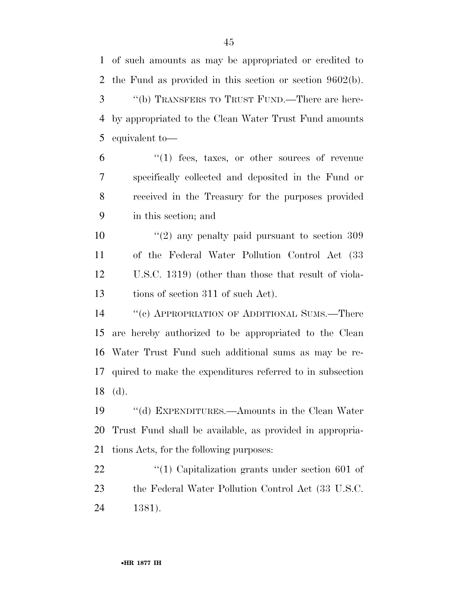of such amounts as may be appropriated or credited to the Fund as provided in this section or section 9602(b). ''(b) TRANSFERS TO TRUST FUND.—There are here-by appropriated to the Clean Water Trust Fund amounts

equivalent to—

 ''(1) fees, taxes, or other sources of revenue specifically collected and deposited in the Fund or received in the Treasury for the purposes provided in this section; and

 $\frac{10}{2}$  (2) any penalty paid pursuant to section 309 of the Federal Water Pollution Control Act (33 U.S.C. 1319) (other than those that result of viola-13 tions of section 311 of such Act).

 ''(c) APPROPRIATION OF ADDITIONAL SUMS.—There are hereby authorized to be appropriated to the Clean Water Trust Fund such additional sums as may be re- quired to make the expenditures referred to in subsection (d).

 ''(d) EXPENDITURES.—Amounts in the Clean Water Trust Fund shall be available, as provided in appropria-tions Acts, for the following purposes:

22  $\frac{1}{2}$  (1) Capitalization grants under section 601 of the Federal Water Pollution Control Act (33 U.S.C. 1381).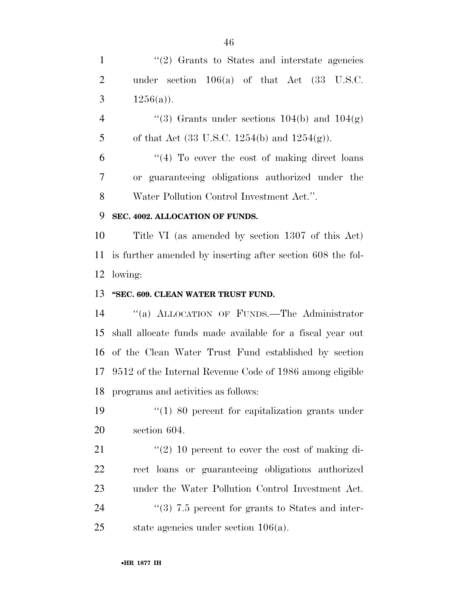1 ''(2) Grants to States and interstate agencies under section 106(a) of that Act (33 U.S.C. 3  $1256(a)$ ).

4  $(3)$  Grants under sections 104(b) and 104(g) 5 of that Act (33 U.S.C. 1254(b) and  $1254(g)$ ).

 $(4)$  To cover the cost of making direct loans or guaranteeing obligations authorized under the Water Pollution Control Investment Act.''.

# **SEC. 4002. ALLOCATION OF FUNDS.**

 Title VI (as amended by section 1307 of this Act) is further amended by inserting after section 608 the fol-lowing:

#### **''SEC. 609. CLEAN WATER TRUST FUND.**

 ''(a) ALLOCATION OF FUNDS.—The Administrator shall allocate funds made available for a fiscal year out of the Clean Water Trust Fund established by section 9512 of the Internal Revenue Code of 1986 among eligible programs and activities as follows:

 ''(1) 80 percent for capitalization grants under section 604.

 $(2)$  10 percent to cover the cost of making di- rect loans or guaranteeing obligations authorized under the Water Pollution Control Investment Act. 24 ''(3) 7.5 percent for grants to States and inter-state agencies under section 106(a).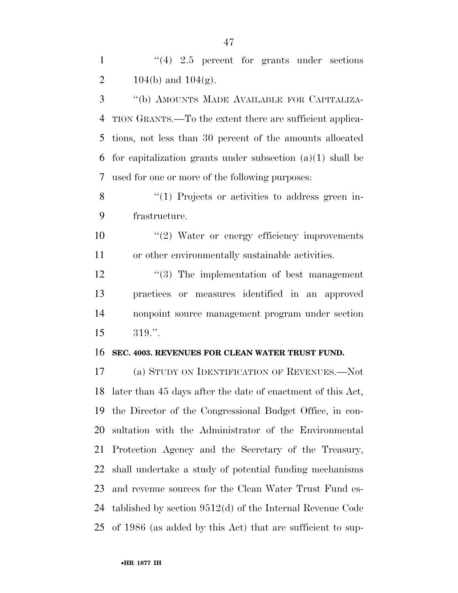1 ''(4) 2.5 percent for grants under sections 2 104(b) and  $104(g)$ .

 ''(b) AMOUNTS MADE AVAILABLE FOR CAPITALIZA- TION GRANTS.—To the extent there are sufficient applica- tions, not less than 30 percent of the amounts allocated for capitalization grants under subsection (a)(1) shall be used for one or more of the following purposes:

8 "(1) Projects or activities to address green in-frastructure.

10  $\frac{1}{2}$  Water or energy efficiency improvements or other environmentally sustainable activities.

12 ''(3) The implementation of best management practices or measures identified in an approved nonpoint source management program under section 319.''.

#### **SEC. 4003. REVENUES FOR CLEAN WATER TRUST FUND.**

 (a) STUDY ON IDENTIFICATION OF REVENUES.—Not later than 45 days after the date of enactment of this Act, the Director of the Congressional Budget Office, in con- sultation with the Administrator of the Environmental Protection Agency and the Secretary of the Treasury, shall undertake a study of potential funding mechanisms and revenue sources for the Clean Water Trust Fund es- tablished by section 9512(d) of the Internal Revenue Code of 1986 (as added by this Act) that are sufficient to sup-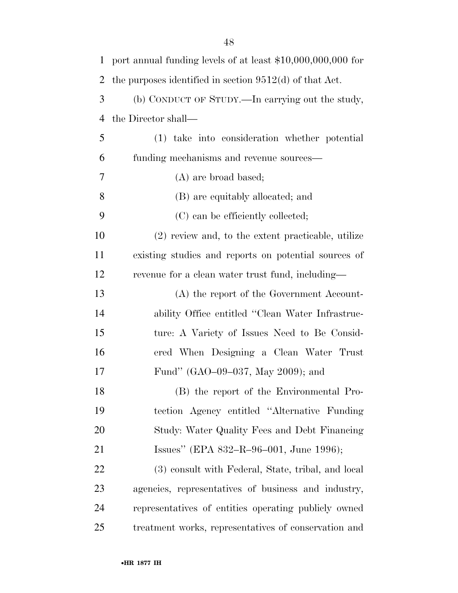| $\mathbf{1}$   | port annual funding levels of at least \$10,000,000,000 for |
|----------------|-------------------------------------------------------------|
| $\overline{2}$ | the purposes identified in section $9512(d)$ of that Act.   |
| 3              | (b) CONDUCT OF STUDY.—In carrying out the study,            |
| $\overline{4}$ | the Director shall—                                         |
| 5              | (1) take into consideration whether potential               |
| 6              | funding mechanisms and revenue sources—                     |
| 7              | $(A)$ are broad based;                                      |
| 8              | (B) are equitably allocated; and                            |
| 9              | (C) can be efficiently collected;                           |
| 10             | $(2)$ review and, to the extent practicable, utilize        |
| 11             | existing studies and reports on potential sources of        |
| 12             | revenue for a clean water trust fund, including—            |
| 13             | (A) the report of the Government Account-                   |
| 14             | ability Office entitled "Clean Water Infrastruc-            |
| 15             | ture: A Variety of Issues Need to Be Consid-                |
| 16             | ered When Designing a Clean Water Trust                     |
| 17             | Fund" (GAO–09–037, May 2009); and                           |
| 18             | (B) the report of the Environmental Pro-                    |
| 19             | tection Agency entitled "Alternative Funding"               |
| 20             | Study: Water Quality Fees and Debt Financing                |
| 21             | Issues" (EPA 832-R-96-001, June 1996);                      |
| 22             | (3) consult with Federal, State, tribal, and local          |
| 23             | agencies, representatives of business and industry,         |
| 24             | representatives of entities operating publicly owned        |
| 25             | treatment works, representatives of conservation and        |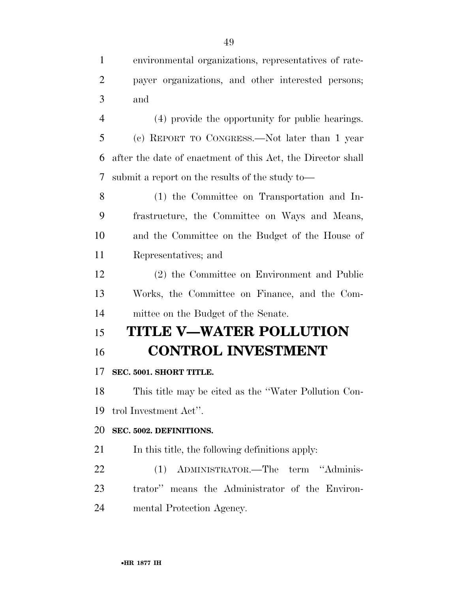| $1 \quad$ | environmental organizations, representatives of rate- |
|-----------|-------------------------------------------------------|
|           | 2 payer organizations, and other interested persons;  |
| $3 \quad$ | and                                                   |

 (4) provide the opportunity for public hearings. (c) REPORT TO CONGRESS.—Not later than 1 year after the date of enactment of this Act, the Director shall submit a report on the results of the study to—

 (1) the Committee on Transportation and In- frastructure, the Committee on Ways and Means, and the Committee on the Budget of the House of Representatives; and

 (2) the Committee on Environment and Public Works, the Committee on Finance, and the Com-mittee on the Budget of the Senate.

# **TITLE V—WATER POLLUTION**

# **CONTROL INVESTMENT**

# **SEC. 5001. SHORT TITLE.**

 This title may be cited as the ''Water Pollution Con-trol Investment Act''.

# **SEC. 5002. DEFINITIONS.**

In this title, the following definitions apply:

- (1) ADMINISTRATOR.—The term ''Adminis-trator'' means the Administrator of the Environ-
- mental Protection Agency.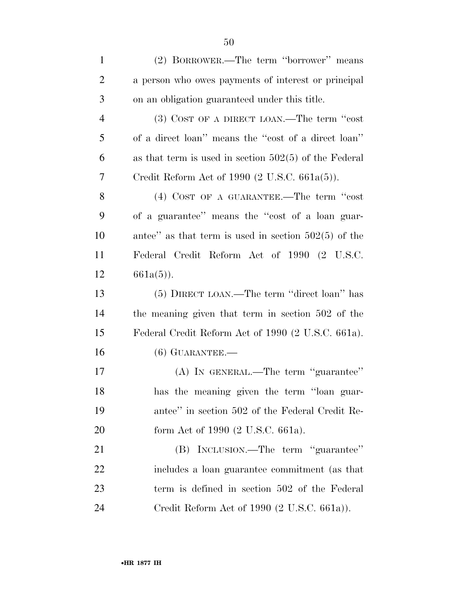(2) BORROWER.—The term ''borrower'' means a person who owes payments of interest or principal on an obligation guaranteed under this title. (3) COST OF A DIRECT LOAN.—The term ''cost of a direct loan'' means the ''cost of a direct loan'' as that term is used in section 502(5) of the Federal Credit Reform Act of 1990 (2 U.S.C. 661a(5)). 8 (4) COST OF A GUARANTEE.—The term "cost" of a guarantee'' means the ''cost of a loan guar- antee'' as that term is used in section 502(5) of the Federal Credit Reform Act of 1990 (2 U.S.C.  $661a(5)$ ). (5) DIRECT LOAN.—The term ''direct loan'' has the meaning given that term in section 502 of the Federal Credit Reform Act of 1990 (2 U.S.C. 661a). (6) GUARANTEE.— (A) IN GENERAL.—The term ''guarantee'' has the meaning given the term ''loan guar- antee'' in section 502 of the Federal Credit Re-20 form Act of 1990 (2 U.S.C. 661a). (B) INCLUSION.—The term ''guarantee'' includes a loan guarantee commitment (as that term is defined in section 502 of the Federal Credit Reform Act of 1990 (2 U.S.C. 661a)).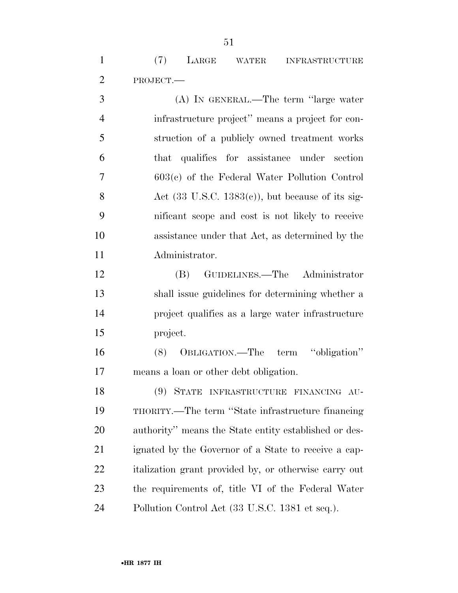(7) LARGE WATER INFRASTRUCTURE PROJECT.—

 (A) IN GENERAL.—The term ''large water infrastructure project'' means a project for con- struction of a publicly owned treatment works that qualifies for assistance under section 603(c) of the Federal Water Pollution Control 8 Act  $(33 \text{ U.S.C. } 1383(c))$ , but because of its sig- nificant scope and cost is not likely to receive assistance under that Act, as determined by the Administrator.

 (B) GUIDELINES.—The Administrator shall issue guidelines for determining whether a project qualifies as a large water infrastructure project.

 (8) OBLIGATION.—The term ''obligation'' means a loan or other debt obligation.

 (9) STATE INFRASTRUCTURE FINANCING AU- THORITY.—The term ''State infrastructure financing authority'' means the State entity established or des- ignated by the Governor of a State to receive a cap- italization grant provided by, or otherwise carry out the requirements of, title VI of the Federal Water Pollution Control Act (33 U.S.C. 1381 et seq.).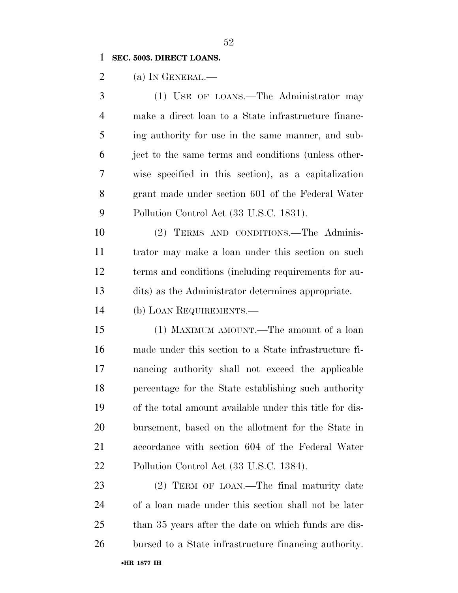#### **SEC. 5003. DIRECT LOANS.**

2 (a) In GENERAL.—

 (1) USE OF LOANS.—The Administrator may make a direct loan to a State infrastructure financ- ing authority for use in the same manner, and sub- ject to the same terms and conditions (unless other- wise specified in this section), as a capitalization grant made under section 601 of the Federal Water Pollution Control Act (33 U.S.C. 1831).

 (2) TERMS AND CONDITIONS.—The Adminis- trator may make a loan under this section on such terms and conditions (including requirements for au-dits) as the Administrator determines appropriate.

(b) LOAN REQUIREMENTS.—

 (1) MAXIMUM AMOUNT.—The amount of a loan made under this section to a State infrastructure fi- nancing authority shall not exceed the applicable percentage for the State establishing such authority of the total amount available under this title for dis- bursement, based on the allotment for the State in accordance with section 604 of the Federal Water Pollution Control Act (33 U.S.C. 1384).

 (2) TERM OF LOAN.—The final maturity date of a loan made under this section shall not be later than 35 years after the date on which funds are dis-bursed to a State infrastructure financing authority.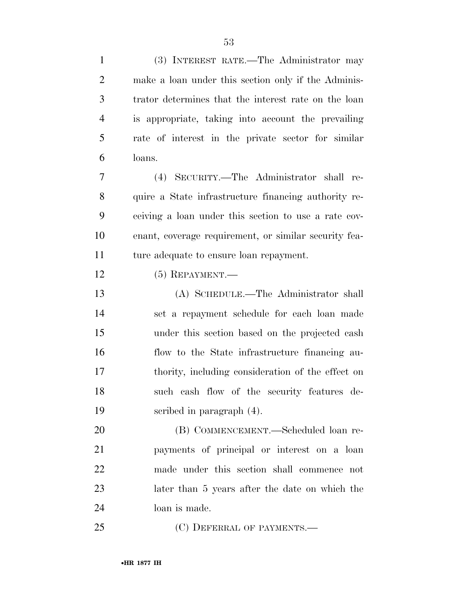| $\mathbf{1}$   | (3) INTEREST RATE.—The Administrator may              |
|----------------|-------------------------------------------------------|
| $\overline{2}$ | make a loan under this section only if the Adminis-   |
| 3              | trator determines that the interest rate on the loan  |
| 4              | is appropriate, taking into account the prevailing    |
| 5              | rate of interest in the private sector for similar    |
| 6              | loans.                                                |
| $\overline{7}$ | (4) SECURITY.—The Administrator shall re-             |
| 8              | quire a State infrastructure financing authority re-  |
| 9              | ceiving a loan under this section to use a rate cov-  |
| 10             | enant, coverage requirement, or similar security fea- |
| 11             | ture adequate to ensure loan repayment.               |
| 12             | $(5)$ REPAYMENT.—                                     |
| 13             | (A) SCHEDULE.—The Administrator shall                 |
| 14             | set a repayment schedule for each loan made           |
| 15             | under this section based on the projected cash        |
| 16             | flow to the State infrastructure financing au-        |
| 17             | thority, including consideration of the effect on     |
| 18             | such cash flow of the security features de-           |
| 19             | scribed in paragraph (4).                             |
| 20             | (B) COMMENCEMENT.—Scheduled loan re-                  |
| 21             | payments of principal or interest on a loan           |
| 22             | made under this section shall commence not            |
| 23             | later than 5 years after the date on which the        |
| 24             | loan is made.                                         |
| 25             | (C) DEFERRAL OF PAYMENTS.—                            |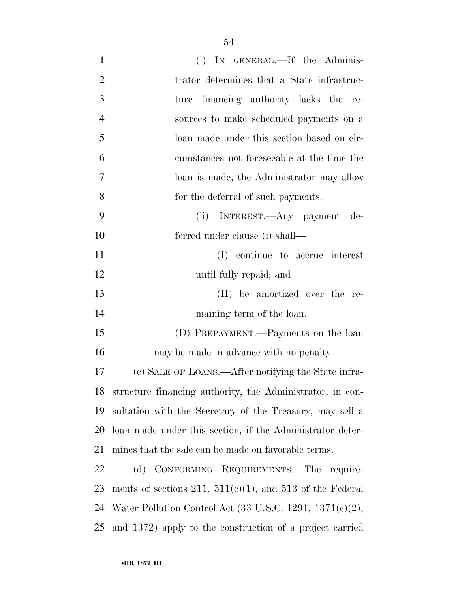| $\mathbf{1}$   | (i) IN GENERAL.—If the Adminis-                                      |
|----------------|----------------------------------------------------------------------|
| $\overline{2}$ | trator determines that a State infrastruc-                           |
| 3              | financing authority lacks the re-<br>ture                            |
| $\overline{4}$ | sources to make scheduled payments on a                              |
| 5              | loan made under this section based on cir-                           |
| 6              | cumstances not foreseeable at the time the                           |
| 7              | loan is made, the Administrator may allow                            |
| 8              | for the deferral of such payments.                                   |
| 9              | INTEREST.—Any payment de-<br>(ii)                                    |
| 10             | ferred under clause (i) shall—                                       |
| 11             | (I) continue to accrue interest                                      |
| 12             | until fully repaid; and                                              |
| 13             | (II) be amortized over the re-                                       |
| 14             | maining term of the loan.                                            |
| 15             | (D) PREPAYMENT.—Payments on the loan                                 |
| 16             | may be made in advance with no penalty.                              |
| 17             | (c) SALE OF LOANS.—After notifying the State infra-                  |
| 18             | structure financing authority, the Administrator, in con-            |
| 19             | sultation with the Secretary of the Treasury, may sell a             |
| 20             | loan made under this section, if the Administrator deter-            |
| 21             | mines that the sale can be made on favorable terms.                  |
| 22             | (d) CONFORMING REQUIREMENTS.—The require-                            |
| 23             | ments of sections 211, $511(e)(1)$ , and 513 of the Federal          |
| 24             | Water Pollution Control Act $(33 \text{ U.S.C. } 1291, 1371(c)(2)),$ |
| 25             | and 1372) apply to the construction of a project carried             |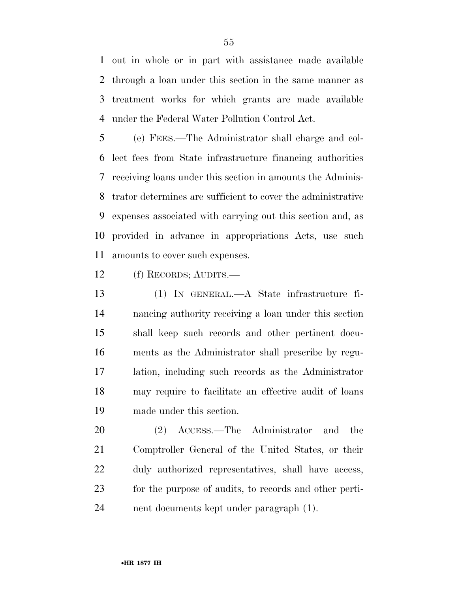out in whole or in part with assistance made available through a loan under this section in the same manner as treatment works for which grants are made available under the Federal Water Pollution Control Act.

 (e) FEES.—The Administrator shall charge and col- lect fees from State infrastructure financing authorities receiving loans under this section in amounts the Adminis- trator determines are sufficient to cover the administrative expenses associated with carrying out this section and, as provided in advance in appropriations Acts, use such amounts to cover such expenses.

(f) RECORDS; AUDITS.—

 (1) IN GENERAL.—A State infrastructure fi- nancing authority receiving a loan under this section shall keep such records and other pertinent docu- ments as the Administrator shall prescribe by regu- lation, including such records as the Administrator may require to facilitate an effective audit of loans made under this section.

 (2) ACCESS.—The Administrator and the Comptroller General of the United States, or their duly authorized representatives, shall have access, for the purpose of audits, to records and other perti-nent documents kept under paragraph (1).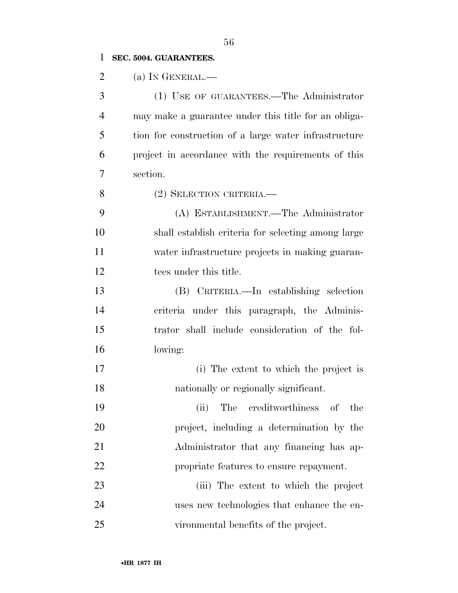# **SEC. 5004. GUARANTEES.**

| $\overline{2}$ | (a) IN GENERAL.—                                      |
|----------------|-------------------------------------------------------|
| 3              | (1) USE OF GUARANTEES.—The Administrator              |
| $\overline{4}$ | may make a guarantee under this title for an obliga-  |
| 5              | tion for construction of a large water infrastructure |
| 6              | project in accordance with the requirements of this   |
| 7              | section.                                              |
| 8              | (2) SELECTION CRITERIA.—                              |
| 9              | (A) ESTABLISHMENT.—The Administrator                  |
| 10             | shall establish criteria for selecting among large    |
| 11             | water infrastructure projects in making guaran-       |
| 12             | tees under this title.                                |
| 13             | (B) CRITERIA.—In establishing selection               |
| 14             | criteria under this paragraph, the Adminis-           |
| 15             | trator shall include consideration of the fol-        |
| 16             | lowing:                                               |
| 17             | (i) The extent to which the project is                |
| 18             | nationally or regionally significant.                 |
| 19             | (ii) The creditworthiness<br>of<br>the                |
| 20             | project, including a determination by the             |
| 21             | Administrator that any financing has ap-              |
| 22             | propriate features to ensure repayment.               |
| 23             | (iii) The extent to which the project                 |
| 24             | uses new technologies that enhance the en-            |
| 25             | vironmental benefits of the project.                  |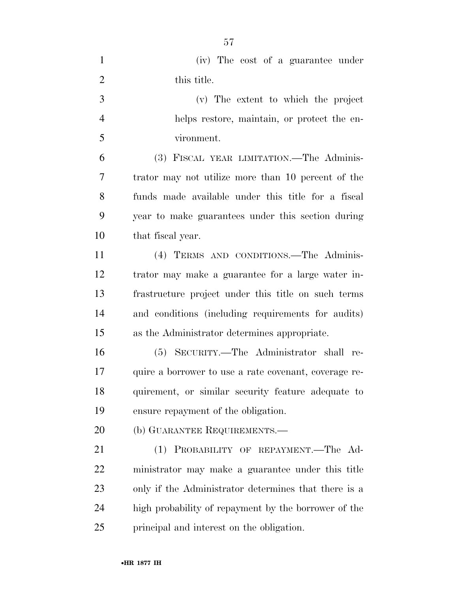| $\mathbf{1}$   | (iv) The cost of a guarantee under                    |
|----------------|-------------------------------------------------------|
| $\overline{2}$ | this title.                                           |
| 3              | (v) The extent to which the project                   |
| $\overline{4}$ | helps restore, maintain, or protect the en-           |
| 5              | vironment.                                            |
| 6              | (3) FISCAL YEAR LIMITATION.—The Adminis-              |
| 7              | trator may not utilize more than 10 percent of the    |
| 8              | funds made available under this title for a fiscal    |
| 9              | year to make guarantees under this section during     |
| 10             | that fiscal year.                                     |
| 11             | (4) TERMS AND CONDITIONS. The Adminis-                |
| 12             | trator may make a guarantee for a large water in-     |
| 13             | frastructure project under this title on such terms   |
| 14             | and conditions (including requirements for audits)    |
| 15             | as the Administrator determines appropriate.          |
| 16             | (5) SECURITY.—The Administrator shall re-             |
| 17             | quire a borrower to use a rate covenant, coverage re- |
| 18             | quirement, or similar security feature adequate to    |
| 19             | ensure repayment of the obligation.                   |
| 20             | (b) GUARANTEE REQUIREMENTS.—                          |
| 21             | (1) PROBABILITY OF REPAYMENT.—The Ad-                 |
| 22             | ministrator may make a guarantee under this title     |
| 23             | only if the Administrator determines that there is a  |
| 24             | high probability of repayment by the borrower of the  |
| 25             | principal and interest on the obligation.             |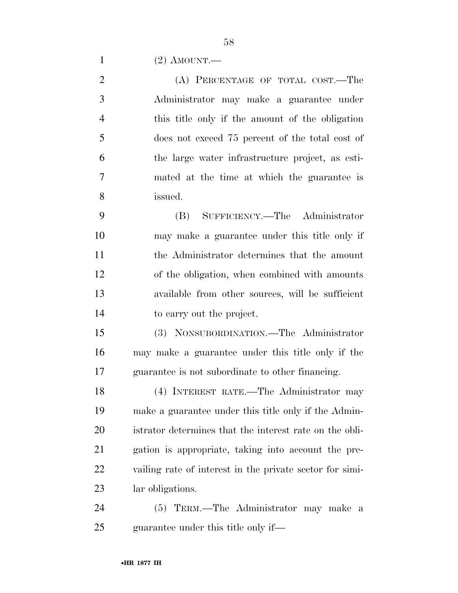(2) AMOUNT.—

2 (A) PERCENTAGE OF TOTAL COST.—The Administrator may make a guarantee under this title only if the amount of the obligation does not exceed 75 percent of the total cost of the large water infrastructure project, as esti- mated at the time at which the guarantee is issued.

 (B) SUFFICIENCY.—The Administrator may make a guarantee under this title only if the Administrator determines that the amount of the obligation, when combined with amounts available from other sources, will be sufficient to carry out the project.

 (3) NONSUBORDINATION.—The Administrator may make a guarantee under this title only if the guarantee is not subordinate to other financing.

 (4) INTEREST RATE.—The Administrator may make a guarantee under this title only if the Admin- istrator determines that the interest rate on the obli- gation is appropriate, taking into account the pre- vailing rate of interest in the private sector for simi-lar obligations.

 (5) TERM.—The Administrator may make a guarantee under this title only if—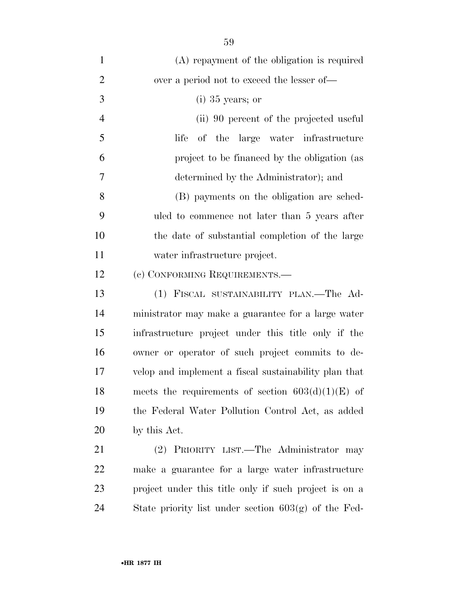| $\mathbf{1}$   | (A) repayment of the obligation is required            |
|----------------|--------------------------------------------------------|
| $\overline{2}$ | over a period not to exceed the lesser of—             |
| 3              | $(i)$ 35 years; or                                     |
| $\overline{4}$ | (ii) 90 percent of the projected useful                |
| 5              | of the large water infrastructure<br>life              |
| 6              | project to be financed by the obligation (as           |
| $\tau$         | determined by the Administrator); and                  |
| 8              | (B) payments on the obligation are sched-              |
| 9              | uled to commence not later than 5 years after          |
| 10             | the date of substantial completion of the large        |
| 11             | water infrastructure project.                          |
| 12             | (c) CONFORMING REQUIREMENTS.—                          |
| 13             | (1) FISCAL SUSTAINABILITY PLAN.—The Ad-                |
| 14             | ministrator may make a guarantee for a large water     |
| 15             | infrastructure project under this title only if the    |
| 16             | owner or operator of such project commits to de-       |
| 17             | velop and implement a fiscal sustainability plan that  |
| 18             | meets the requirements of section $603(d)(1)(E)$ of    |
| 19             | the Federal Water Pollution Control Act, as added      |
| 20             | by this Act.                                           |
| 21             | (2) PRIORITY LIST.—The Administrator may               |
| 22             | make a guarantee for a large water infrastructure      |
| 23             | project under this title only if such project is on a  |
| 24             | State priority list under section $603(g)$ of the Fed- |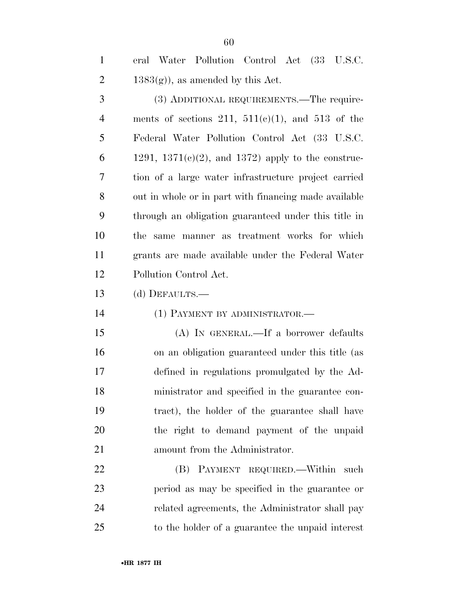eral Water Pollution Control Act (33 U.S.C. 2 1383 $(g)$ , as amended by this Act.

 (3) ADDITIONAL REQUIREMENTS.—The require-4 ments of sections 211,  $511(e)(1)$ , and  $513$  of the Federal Water Pollution Control Act (33 U.S.C. 6 1291, 1371(c)(2), and 1372) apply to the construc- tion of a large water infrastructure project carried out in whole or in part with financing made available through an obligation guaranteed under this title in the same manner as treatment works for which grants are made available under the Federal Water Pollution Control Act.

(d) DEFAULTS.—

(1) PAYMENT BY ADMINISTRATOR.—

 (A) IN GENERAL.—If a borrower defaults on an obligation guaranteed under this title (as defined in regulations promulgated by the Ad- ministrator and specified in the guarantee con- tract), the holder of the guarantee shall have the right to demand payment of the unpaid amount from the Administrator.

22 (B) PAYMENT REQUIRED. Within such period as may be specified in the guarantee or related agreements, the Administrator shall pay to the holder of a guarantee the unpaid interest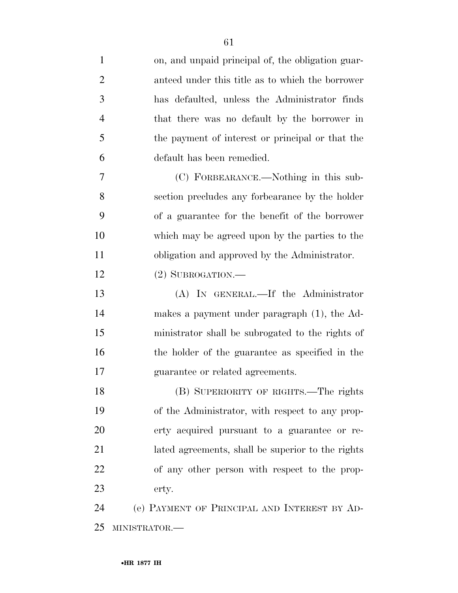| $\mathbf{1}$   | on, and unpaid principal of, the obligation guar- |
|----------------|---------------------------------------------------|
| $\overline{2}$ | anteed under this title as to which the borrower  |
| 3              | has defaulted, unless the Administrator finds     |
| $\overline{4}$ | that there was no default by the borrower in      |
| 5              | the payment of interest or principal or that the  |
| 6              | default has been remedied.                        |
| 7              | (C) FORBEARANCE.—Nothing in this sub-             |
| 8              | section precludes any forbearance by the holder   |
| 9              | of a guarantee for the benefit of the borrower    |
| 10             | which may be agreed upon by the parties to the    |
| 11             | obligation and approved by the Administrator.     |
| 12             | $(2)$ SUBROGATION.—                               |
| 13             | (A) IN GENERAL.—If the Administrator              |
| 14             | makes a payment under paragraph (1), the Ad-      |
| 15             | ministrator shall be subrogated to the rights of  |
| 16             | the holder of the guarantee as specified in the   |
| 17             | guarantee or related agreements.                  |
| 18             | (B) SUPERIORITY OF RIGHTS.—The rights             |
| 19             | of the Administrator, with respect to any prop-   |
| 20             | erty acquired pursuant to a guarantee or re-      |
| 21             | lated agreements, shall be superior to the rights |
| 22             | of any other person with respect to the prop-     |
| 23             | erty.                                             |
| 24             | (e) PAYMENT OF PRINCIPAL AND INTEREST BY AD-      |
| 25             | MINISTRATOR.-                                     |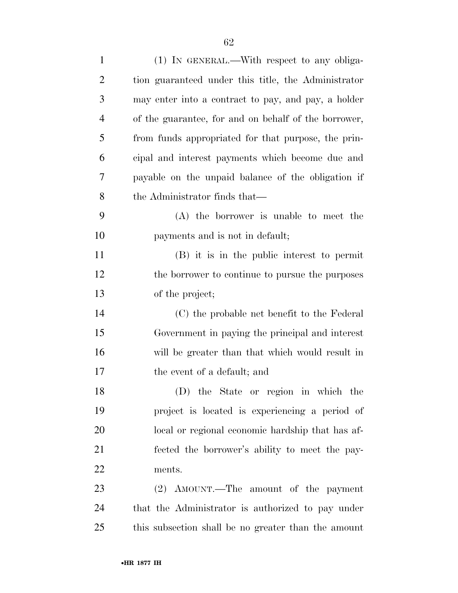| $\mathbf{1}$   | (1) IN GENERAL.—With respect to any obliga-          |
|----------------|------------------------------------------------------|
| $\overline{2}$ | tion guaranteed under this title, the Administrator  |
| 3              | may enter into a contract to pay, and pay, a holder  |
| $\overline{4}$ | of the guarantee, for and on behalf of the borrower, |
| 5              | from funds appropriated for that purpose, the prin-  |
| 6              | eipal and interest payments which become due and     |
| 7              | payable on the unpaid balance of the obligation if   |
| 8              | the Administrator finds that—                        |
| 9              | (A) the borrower is unable to meet the               |
| 10             | payments and is not in default;                      |
| 11             | (B) it is in the public interest to permit           |
| 12             | the borrower to continue to pursue the purposes      |
| 13             | of the project;                                      |
| 14             | (C) the probable net benefit to the Federal          |
| 15             | Government in paying the principal and interest      |
| 16             | will be greater than that which would result in      |
| 17             | the event of a default; and                          |
| 18             | (D) the State or region in which the                 |
| 19             | project is located is experiencing a period of       |
| 20             | local or regional economic hardship that has af-     |
| 21             | fected the borrower's ability to meet the pay-       |
| 22             | ments.                                               |
| 23             | (2) AMOUNT.—The amount of the payment                |
| 24             | that the Administrator is authorized to pay under    |
| 25             | this subsection shall be no greater than the amount  |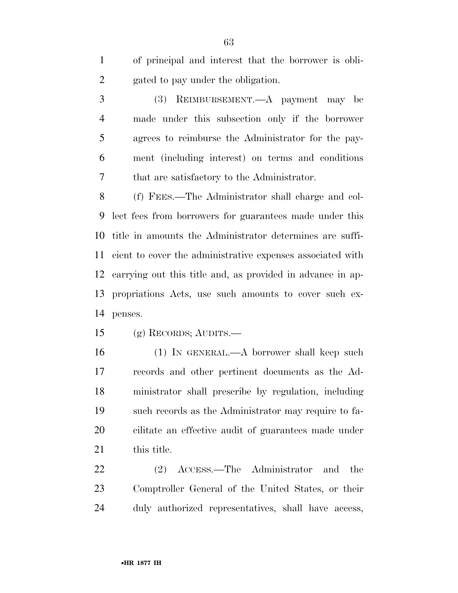of principal and interest that the borrower is obli-gated to pay under the obligation.

 (3) REIMBURSEMENT.—A payment may be made under this subsection only if the borrower agrees to reimburse the Administrator for the pay- ment (including interest) on terms and conditions that are satisfactory to the Administrator.

 (f) FEES.—The Administrator shall charge and col- lect fees from borrowers for guarantees made under this title in amounts the Administrator determines are suffi- cient to cover the administrative expenses associated with carrying out this title and, as provided in advance in ap- propriations Acts, use such amounts to cover such ex-penses.

(g) RECORDS; AUDITS.—

 (1) IN GENERAL.—A borrower shall keep such records and other pertinent documents as the Ad- ministrator shall prescribe by regulation, including such records as the Administrator may require to fa- cilitate an effective audit of guarantees made under this title.

 (2) ACCESS.—The Administrator and the Comptroller General of the United States, or their duly authorized representatives, shall have access,